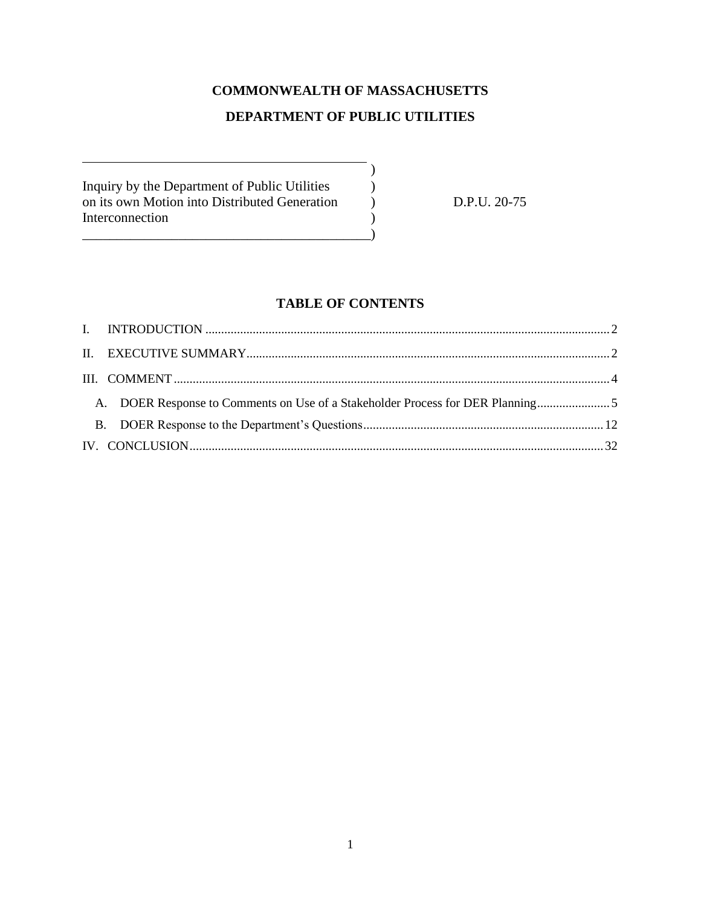# **COMMONWEALTH OF MASSACHUSETTS DEPARTMENT OF PUBLIC UTILITIES**

)

Inquiry by the Department of Public Utilities ) on its own Motion into Distributed Generation  $D.P.U. 20-75$ Interconnection )

\_\_\_\_\_\_\_\_\_\_\_\_\_\_\_\_\_\_\_\_\_\_\_\_\_\_\_\_\_\_\_\_\_\_\_\_\_\_\_\_\_\_)

# **TABLE OF CONTENTS**

| A. DOER Response to Comments on Use of a Stakeholder Process for DER Planning |  |
|-------------------------------------------------------------------------------|--|
|                                                                               |  |
|                                                                               |  |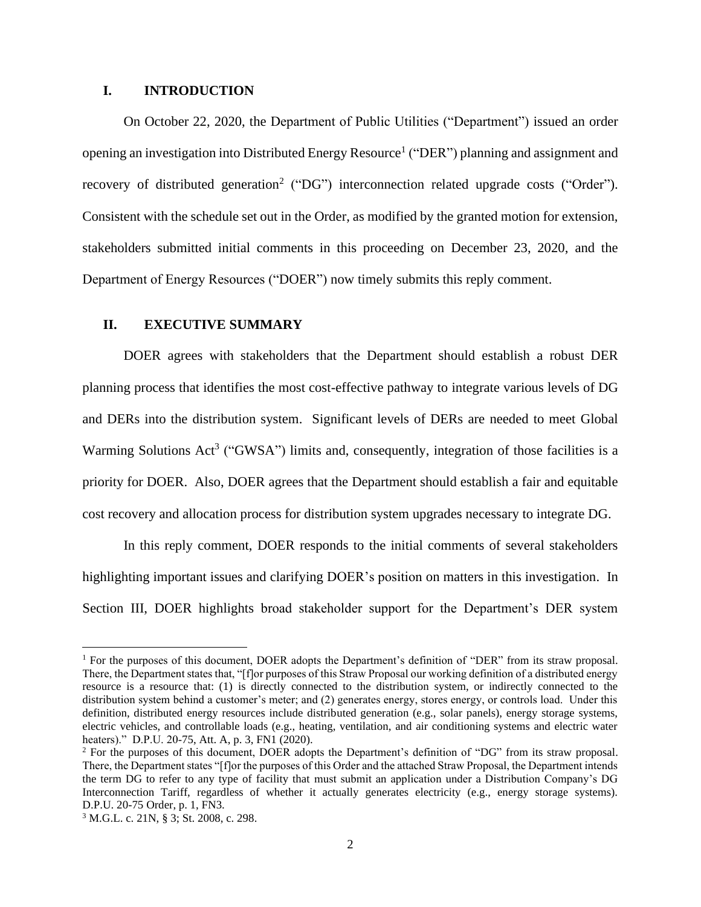#### <span id="page-1-0"></span>**I. INTRODUCTION**

On October 22, 2020, the Department of Public Utilities ("Department") issued an order opening an investigation into Distributed Energy Resource<sup>1</sup> ("DER") planning and assignment and recovery of distributed generation<sup>2</sup> ("DG") interconnection related upgrade costs ("Order"). Consistent with the schedule set out in the Order, as modified by the granted motion for extension, stakeholders submitted initial comments in this proceeding on December 23, 2020, and the Department of Energy Resources ("DOER") now timely submits this reply comment.

#### <span id="page-1-1"></span>**II. EXECUTIVE SUMMARY**

DOER agrees with stakeholders that the Department should establish a robust DER planning process that identifies the most cost-effective pathway to integrate various levels of DG and DERs into the distribution system. Significant levels of DERs are needed to meet Global Warming Solutions Act<sup>3</sup> ("GWSA") limits and, consequently, integration of those facilities is a priority for DOER. Also, DOER agrees that the Department should establish a fair and equitable cost recovery and allocation process for distribution system upgrades necessary to integrate DG.

In this reply comment, DOER responds to the initial comments of several stakeholders highlighting important issues and clarifying DOER's position on matters in this investigation. In Section III, DOER highlights broad stakeholder support for the Department's DER system

<sup>1</sup> For the purposes of this document, DOER adopts the Department's definition of "DER" from its straw proposal. There, the Department states that, "[f]or purposes of this Straw Proposal our working definition of a distributed energy resource is a resource that: (1) is directly connected to the distribution system, or indirectly connected to the distribution system behind a customer's meter; and (2) generates energy, stores energy, or controls load. Under this definition, distributed energy resources include distributed generation (e.g., solar panels), energy storage systems, electric vehicles, and controllable loads (e.g., heating, ventilation, and air conditioning systems and electric water heaters)." D.P.U. 20-75, Att. A, p. 3, FN1 (2020).

<sup>2</sup> For the purposes of this document, DOER adopts the Department's definition of "DG" from its straw proposal. There, the Department states "[f]or the purposes of this Order and the attached Straw Proposal, the Department intends the term DG to refer to any type of facility that must submit an application under a Distribution Company's DG Interconnection Tariff, regardless of whether it actually generates electricity (e.g., energy storage systems). D.P.U. 20-75 Order, p. 1, FN3.

<sup>3</sup> M.G.L. c. 21N, § 3; St. 2008, c. 298.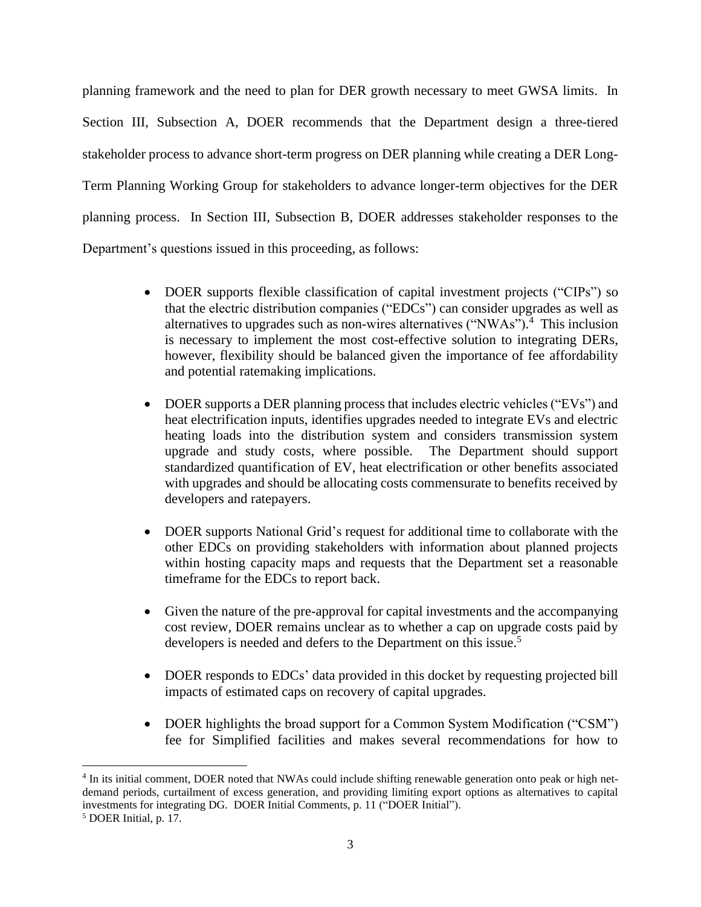planning framework and the need to plan for DER growth necessary to meet GWSA limits. In Section III, Subsection A, DOER recommends that the Department design a three-tiered stakeholder process to advance short-term progress on DER planning while creating a DER Long-Term Planning Working Group for stakeholders to advance longer-term objectives for the DER planning process. In Section III, Subsection B, DOER addresses stakeholder responses to the Department's questions issued in this proceeding, as follows:

- DOER supports flexible classification of capital investment projects ("CIPs") so that the electric distribution companies ("EDCs") can consider upgrades as well as alternatives to upgrades such as non-wires alternatives ("NWAs"). 4 This inclusion is necessary to implement the most cost-effective solution to integrating DERs, however, flexibility should be balanced given the importance of fee affordability and potential ratemaking implications.
- DOER supports a DER planning process that includes electric vehicles ("EVs") and heat electrification inputs, identifies upgrades needed to integrate EVs and electric heating loads into the distribution system and considers transmission system upgrade and study costs, where possible. The Department should support standardized quantification of EV, heat electrification or other benefits associated with upgrades and should be allocating costs commensurate to benefits received by developers and ratepayers.
- DOER supports National Grid's request for additional time to collaborate with the other EDCs on providing stakeholders with information about planned projects within hosting capacity maps and requests that the Department set a reasonable timeframe for the EDCs to report back.
- Given the nature of the pre-approval for capital investments and the accompanying cost review, DOER remains unclear as to whether a cap on upgrade costs paid by developers is needed and defers to the Department on this issue.<sup>5</sup>
- DOER responds to EDCs' data provided in this docket by requesting projected bill impacts of estimated caps on recovery of capital upgrades.
- DOER highlights the broad support for a Common System Modification ("CSM") fee for Simplified facilities and makes several recommendations for how to

<sup>&</sup>lt;sup>4</sup> In its initial comment, DOER noted that NWAs could include shifting renewable generation onto peak or high netdemand periods, curtailment of excess generation, and providing limiting export options as alternatives to capital investments for integrating DG. DOER Initial Comments, p. 11 ("DOER Initial").

<sup>5</sup> DOER Initial, p. 17.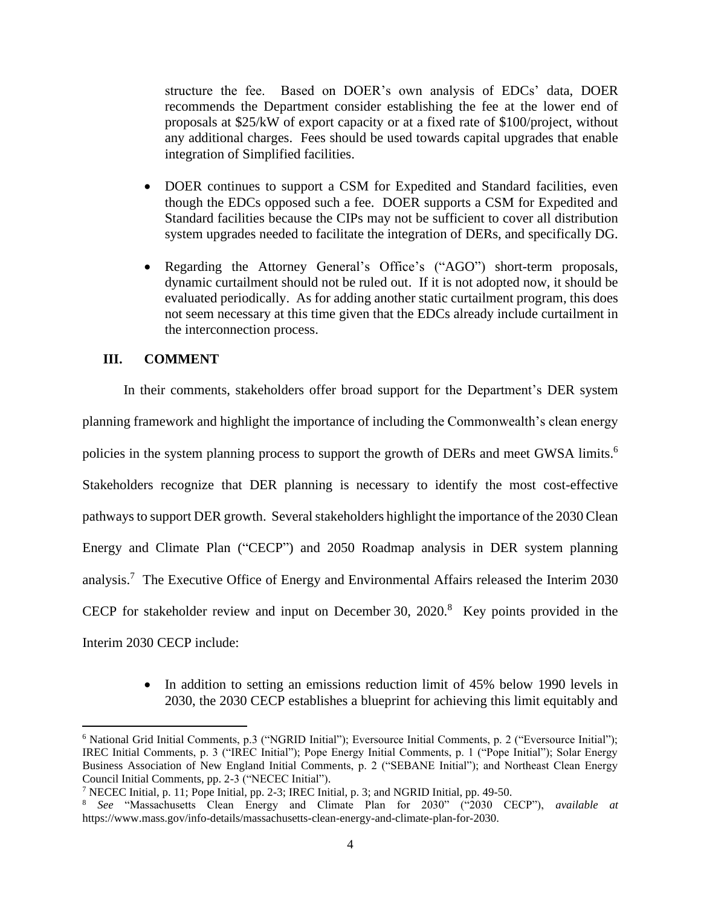structure the fee. Based on DOER's own analysis of EDCs' data, DOER recommends the Department consider establishing the fee at the lower end of proposals at \$25/kW of export capacity or at a fixed rate of \$100/project, without any additional charges. Fees should be used towards capital upgrades that enable integration of Simplified facilities.

- DOER continues to support a CSM for Expedited and Standard facilities, even though the EDCs opposed such a fee. DOER supports a CSM for Expedited and Standard facilities because the CIPs may not be sufficient to cover all distribution system upgrades needed to facilitate the integration of DERs, and specifically DG.
- Regarding the Attorney General's Office's ("AGO") short-term proposals, dynamic curtailment should not be ruled out. If it is not adopted now, it should be evaluated periodically. As for adding another static curtailment program, this does not seem necessary at this time given that the EDCs already include curtailment in the interconnection process.

## <span id="page-3-0"></span>**III. COMMENT**

In their comments, stakeholders offer broad support for the Department's DER system planning framework and highlight the importance of including the Commonwealth's clean energy policies in the system planning process to support the growth of DERs and meet GWSA limits.<sup>6</sup> Stakeholders recognize that DER planning is necessary to identify the most cost-effective pathways to support DER growth. Several stakeholders highlight the importance of the 2030 Clean Energy and Climate Plan ("CECP") and 2050 Roadmap analysis in DER system planning analysis.<sup>7</sup> The Executive Office of Energy and Environmental Affairs released the Interim 2030 CECP for stakeholder review and input on December 30, 2020. <sup>8</sup> Key points provided in the Interim 2030 CECP include:

> • In addition to setting an emissions reduction limit of 45% below 1990 levels in 2030, the 2030 CECP establishes a blueprint for achieving this limit equitably and

<sup>6</sup> National Grid Initial Comments, p.3 ("NGRID Initial"); Eversource Initial Comments, p. 2 ("Eversource Initial"); IREC Initial Comments, p. 3 ("IREC Initial"); Pope Energy Initial Comments, p. 1 ("Pope Initial"); Solar Energy Business Association of New England Initial Comments, p. 2 ("SEBANE Initial"); and Northeast Clean Energy Council Initial Comments, pp. 2-3 ("NECEC Initial").

<sup>7</sup> NECEC Initial, p. 11; Pope Initial, pp. 2-3; IREC Initial, p. 3; and NGRID Initial, pp. 49-50.

<sup>8</sup> *See* "Massachusetts Clean Energy and Climate Plan for 2030" ("2030 CECP"), *available at* https://www.mass.gov/info-details/massachusetts-clean-energy-and-climate-plan-for-2030.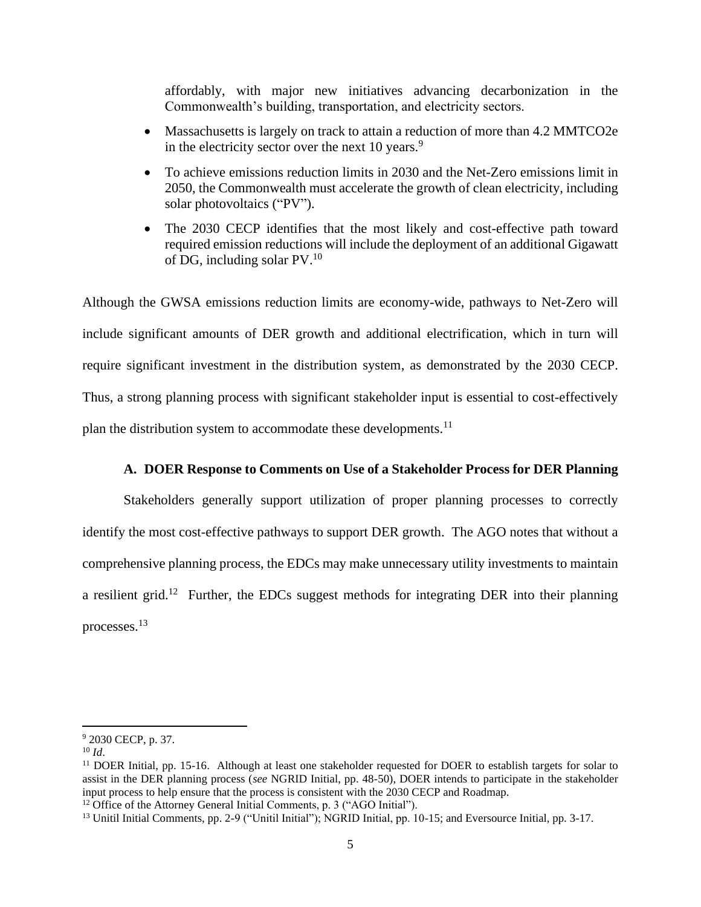affordably, with major new initiatives advancing decarbonization in the Commonwealth's building, transportation, and electricity sectors.

- Massachusetts is largely on track to attain a reduction of more than 4.2 MMTCO2e in the electricity sector over the next  $10$  years.<sup>9</sup>
- To achieve emissions reduction limits in 2030 and the Net-Zero emissions limit in 2050, the Commonwealth must accelerate the growth of clean electricity, including solar photovoltaics ("PV").
- The 2030 CECP identifies that the most likely and cost-effective path toward required emission reductions will include the deployment of an additional Gigawatt of DG, including solar PV. 10

Although the GWSA emissions reduction limits are economy-wide, pathways to Net-Zero will include significant amounts of DER growth and additional electrification, which in turn will require significant investment in the distribution system, as demonstrated by the 2030 CECP. Thus, a strong planning process with significant stakeholder input is essential to cost-effectively plan the distribution system to accommodate these developments.<sup>11</sup>

#### **A. DOER Response to Comments on Use of a Stakeholder Process for DER Planning**

<span id="page-4-0"></span>Stakeholders generally support utilization of proper planning processes to correctly identify the most cost-effective pathways to support DER growth. The AGO notes that without a comprehensive planning process, the EDCs may make unnecessary utility investments to maintain a resilient grid.<sup>12</sup> Further, the EDCs suggest methods for integrating DER into their planning processes. 13

<sup>9</sup> 2030 CECP, p. 37.

 $10 \, Id.$ 

<sup>&</sup>lt;sup>11</sup> DOER Initial, pp. 15-16. Although at least one stakeholder requested for DOER to establish targets for solar to assist in the DER planning process (*see* NGRID Initial, pp. 48-50), DOER intends to participate in the stakeholder input process to help ensure that the process is consistent with the 2030 CECP and Roadmap.

<sup>&</sup>lt;sup>12</sup> Office of the Attorney General Initial Comments, p. 3 ("AGO Initial").

<sup>13</sup> Unitil Initial Comments, pp. 2-9 ("Unitil Initial"); NGRID Initial, pp. 10-15; and Eversource Initial, pp. 3-17.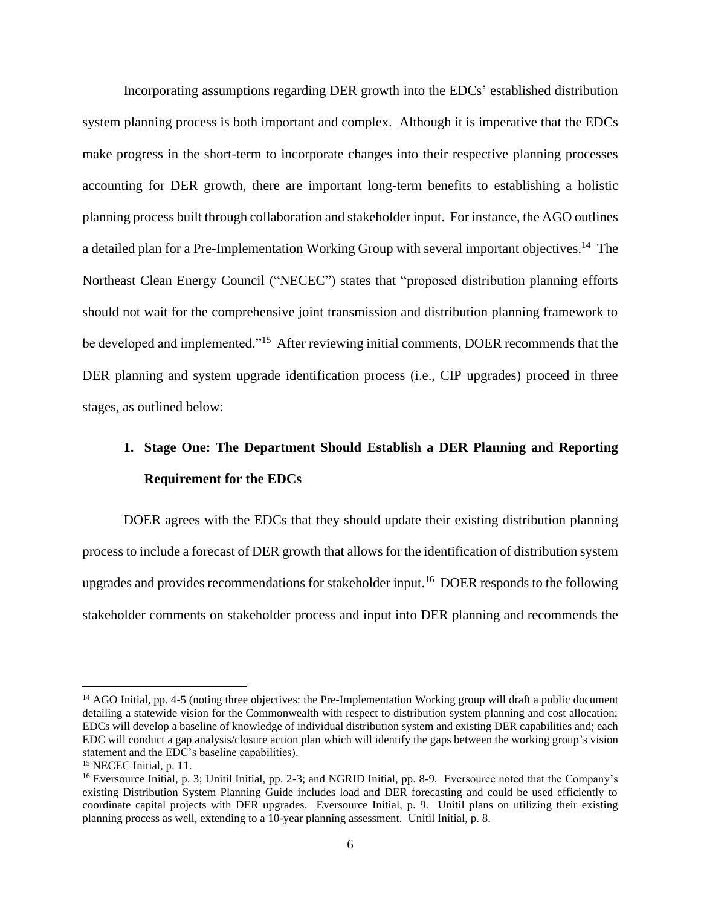Incorporating assumptions regarding DER growth into the EDCs' established distribution system planning process is both important and complex. Although it is imperative that the EDCs make progress in the short-term to incorporate changes into their respective planning processes accounting for DER growth, there are important long-term benefits to establishing a holistic planning process built through collaboration and stakeholder input. For instance, the AGO outlines a detailed plan for a Pre-Implementation Working Group with several important objectives.<sup>14</sup> The Northeast Clean Energy Council ("NECEC") states that "proposed distribution planning efforts should not wait for the comprehensive joint transmission and distribution planning framework to be developed and implemented."<sup>15</sup> After reviewing initial comments, DOER recommends that the DER planning and system upgrade identification process (i.e., CIP upgrades) proceed in three stages, as outlined below:

# **1. Stage One: The Department Should Establish a DER Planning and Reporting Requirement for the EDCs**

DOER agrees with the EDCs that they should update their existing distribution planning process to include a forecast of DER growth that allows for the identification of distribution system upgrades and provides recommendations for stakeholder input.<sup>16</sup> DOER responds to the following stakeholder comments on stakeholder process and input into DER planning and recommends the

 $14$  AGO Initial, pp. 4-5 (noting three objectives: the Pre-Implementation Working group will draft a public document detailing a statewide vision for the Commonwealth with respect to distribution system planning and cost allocation; EDCs will develop a baseline of knowledge of individual distribution system and existing DER capabilities and; each EDC will conduct a gap analysis/closure action plan which will identify the gaps between the working group's vision statement and the EDC's baseline capabilities).

<sup>&</sup>lt;sup>15</sup> NECEC Initial, p. 11.

<sup>16</sup> Eversource Initial, p. 3; Unitil Initial, pp. 2-3; and NGRID Initial, pp. 8-9. Eversource noted that the Company's existing Distribution System Planning Guide includes load and DER forecasting and could be used efficiently to coordinate capital projects with DER upgrades. Eversource Initial, p. 9. Unitil plans on utilizing their existing planning process as well, extending to a 10-year planning assessment. Unitil Initial, p. 8.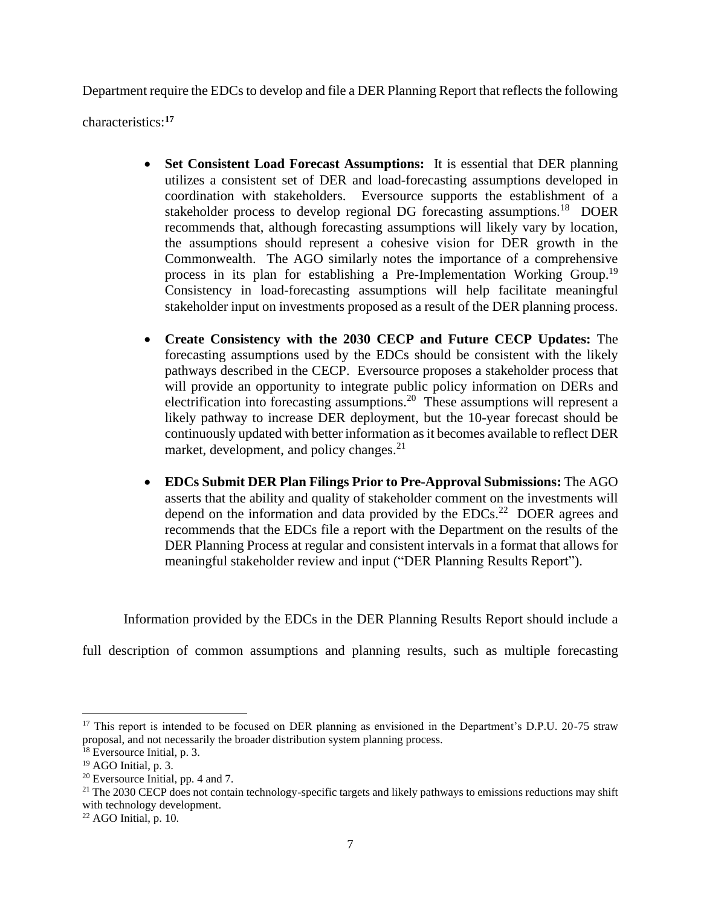Department require the EDCs to develop and file a DER Planning Report that reflects the following

characteristics:**<sup>17</sup>**

- **Set Consistent Load Forecast Assumptions:** It is essential that DER planning utilizes a consistent set of DER and load-forecasting assumptions developed in coordination with stakeholders. Eversource supports the establishment of a stakeholder process to develop regional DG forecasting assumptions.<sup>18</sup> DOER recommends that, although forecasting assumptions will likely vary by location, the assumptions should represent a cohesive vision for DER growth in the Commonwealth. The AGO similarly notes the importance of a comprehensive process in its plan for establishing a Pre-Implementation Working Group.<sup>19</sup> Consistency in load-forecasting assumptions will help facilitate meaningful stakeholder input on investments proposed as a result of the DER planning process.
- **Create Consistency with the 2030 CECP and Future CECP Updates:** The forecasting assumptions used by the EDCs should be consistent with the likely pathways described in the CECP. Eversource proposes a stakeholder process that will provide an opportunity to integrate public policy information on DERs and electrification into forecasting assumptions.<sup>20</sup> These assumptions will represent a likely pathway to increase DER deployment, but the 10-year forecast should be continuously updated with better information as it becomes available to reflect DER market, development, and policy changes.<sup>21</sup>
- **EDCs Submit DER Plan Filings Prior to Pre-Approval Submissions:** The AGO asserts that the ability and quality of stakeholder comment on the investments will depend on the information and data provided by the EDCs.<sup>22</sup> DOER agrees and recommends that the EDCs file a report with the Department on the results of the DER Planning Process at regular and consistent intervals in a format that allows for meaningful stakeholder review and input ("DER Planning Results Report").

Information provided by the EDCs in the DER Planning Results Report should include a

full description of common assumptions and planning results, such as multiple forecasting

<sup>&</sup>lt;sup>17</sup> This report is intended to be focused on DER planning as envisioned in the Department's D.P.U. 20-75 straw proposal, and not necessarily the broader distribution system planning process.

<sup>&</sup>lt;sup>18</sup> Eversource Initial, p. 3.

<sup>19</sup> AGO Initial, p. 3.

<sup>&</sup>lt;sup>20</sup> Eversource Initial, pp. 4 and 7.

 $21$  The 2030 CECP does not contain technology-specific targets and likely pathways to emissions reductions may shift with technology development.

 $22$  AGO Initial, p. 10.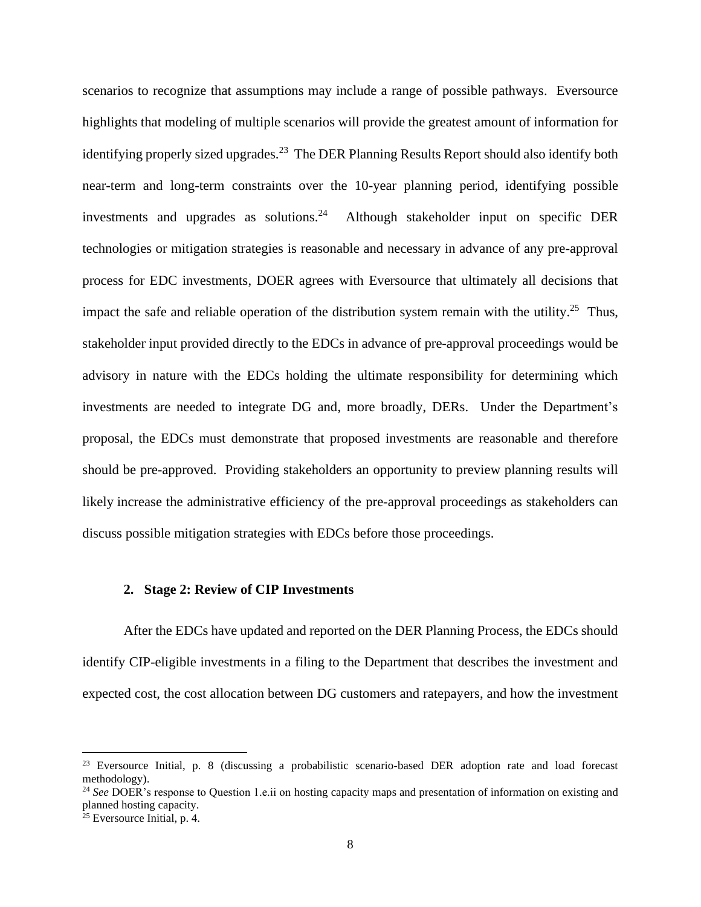scenarios to recognize that assumptions may include a range of possible pathways. Eversource highlights that modeling of multiple scenarios will provide the greatest amount of information for identifying properly sized upgrades.<sup>23</sup> The DER Planning Results Report should also identify both near-term and long-term constraints over the 10-year planning period, identifying possible investments and upgrades as solutions.<sup>24</sup> Although stakeholder input on specific DER technologies or mitigation strategies is reasonable and necessary in advance of any pre-approval process for EDC investments, DOER agrees with Eversource that ultimately all decisions that impact the safe and reliable operation of the distribution system remain with the utility.<sup>25</sup> Thus, stakeholder input provided directly to the EDCs in advance of pre-approval proceedings would be advisory in nature with the EDCs holding the ultimate responsibility for determining which investments are needed to integrate DG and, more broadly, DERs. Under the Department's proposal, the EDCs must demonstrate that proposed investments are reasonable and therefore should be pre-approved. Providing stakeholders an opportunity to preview planning results will likely increase the administrative efficiency of the pre-approval proceedings as stakeholders can discuss possible mitigation strategies with EDCs before those proceedings.

#### **2. Stage 2: Review of CIP Investments**

After the EDCs have updated and reported on the DER Planning Process, the EDCs should identify CIP-eligible investments in a filing to the Department that describes the investment and expected cost, the cost allocation between DG customers and ratepayers, and how the investment

<sup>&</sup>lt;sup>23</sup> Eversource Initial, p. 8 (discussing a probabilistic scenario-based DER adoption rate and load forecast methodology).

<sup>&</sup>lt;sup>24</sup> See DOER's response to Question 1.e.ii on hosting capacity maps and presentation of information on existing and planned hosting capacity.

<sup>&</sup>lt;sup>25</sup> Eversource Initial, p. 4.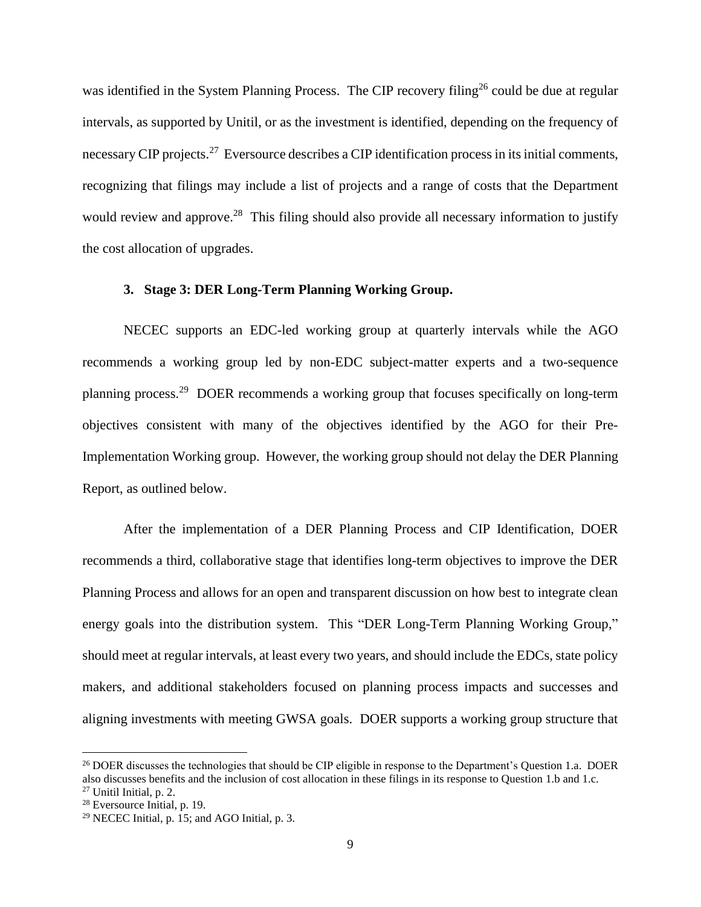was identified in the System Planning Process. The CIP recovery filing<sup>26</sup> could be due at regular intervals, as supported by Unitil, or as the investment is identified, depending on the frequency of necessary CIP projects.<sup>27</sup> Eversource describes a CIP identification process in its initial comments, recognizing that filings may include a list of projects and a range of costs that the Department would review and approve.<sup>28</sup> This filing should also provide all necessary information to justify the cost allocation of upgrades.

#### **3. Stage 3: DER Long-Term Planning Working Group.**

NECEC supports an EDC-led working group at quarterly intervals while the AGO recommends a working group led by non-EDC subject-matter experts and a two-sequence planning process.<sup>29</sup> DOER recommends a working group that focuses specifically on long-term objectives consistent with many of the objectives identified by the AGO for their Pre-Implementation Working group. However, the working group should not delay the DER Planning Report, as outlined below.

After the implementation of a DER Planning Process and CIP Identification, DOER recommends a third, collaborative stage that identifies long-term objectives to improve the DER Planning Process and allows for an open and transparent discussion on how best to integrate clean energy goals into the distribution system. This "DER Long-Term Planning Working Group," should meet at regular intervals, at least every two years, and should include the EDCs, state policy makers, and additional stakeholders focused on planning process impacts and successes and aligning investments with meeting GWSA goals. DOER supports a working group structure that

<sup>&</sup>lt;sup>26</sup> DOER discusses the technologies that should be CIP eligible in response to the Department's Question 1.a. DOER also discusses benefits and the inclusion of cost allocation in these filings in its response to Question 1.b and 1.c. <sup>27</sup> Unitil Initial, p. 2.

<sup>28</sup> Eversource Initial, p. 19.

<sup>29</sup> NECEC Initial, p. 15; and AGO Initial, p. 3.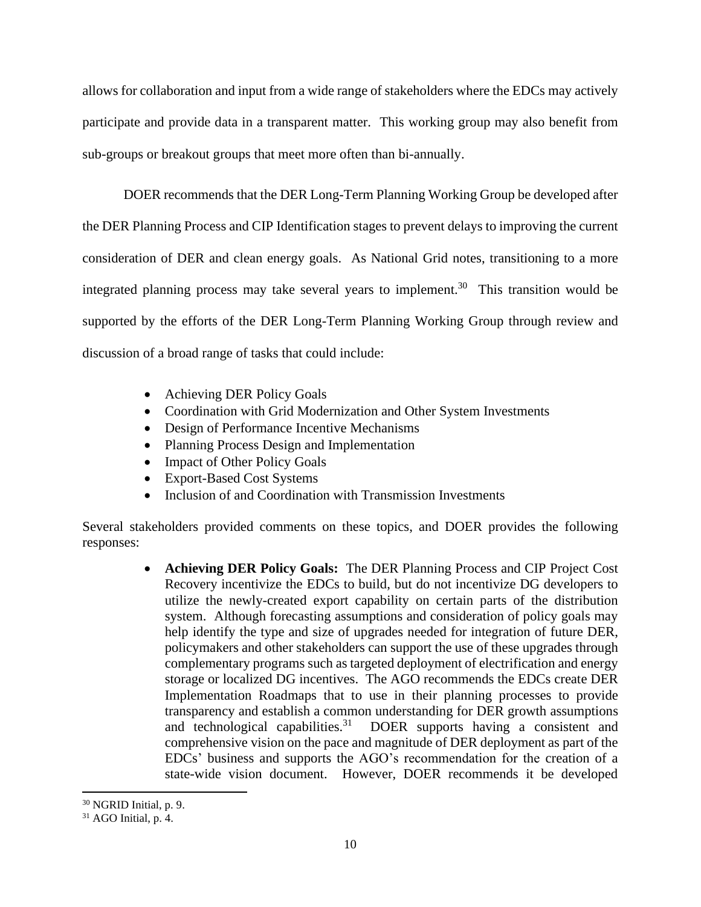allows for collaboration and input from a wide range of stakeholders where the EDCs may actively participate and provide data in a transparent matter. This working group may also benefit from sub-groups or breakout groups that meet more often than bi-annually.

DOER recommends that the DER Long-Term Planning Working Group be developed after the DER Planning Process and CIP Identification stages to prevent delays to improving the current consideration of DER and clean energy goals. As National Grid notes, transitioning to a more integrated planning process may take several years to implement.<sup>30</sup> This transition would be supported by the efforts of the DER Long-Term Planning Working Group through review and discussion of a broad range of tasks that could include:

- Achieving DER Policy Goals
- Coordination with Grid Modernization and Other System Investments
- Design of Performance Incentive Mechanisms
- Planning Process Design and Implementation
- Impact of Other Policy Goals
- Export-Based Cost Systems
- Inclusion of and Coordination with Transmission Investments

Several stakeholders provided comments on these topics, and DOER provides the following responses:

> • **Achieving DER Policy Goals:** The DER Planning Process and CIP Project Cost Recovery incentivize the EDCs to build, but do not incentivize DG developers to utilize the newly-created export capability on certain parts of the distribution system. Although forecasting assumptions and consideration of policy goals may help identify the type and size of upgrades needed for integration of future DER, policymakers and other stakeholders can support the use of these upgrades through complementary programs such as targeted deployment of electrification and energy storage or localized DG incentives. The AGO recommends the EDCs create DER Implementation Roadmaps that to use in their planning processes to provide transparency and establish a common understanding for DER growth assumptions and technological capabilities.<sup>31</sup> DOER supports having a consistent and comprehensive vision on the pace and magnitude of DER deployment as part of the EDCs' business and supports the AGO's recommendation for the creation of a state-wide vision document. However, DOER recommends it be developed

 $30$  NGRID Initial, p. 9.

 $31$  AGO Initial, p. 4.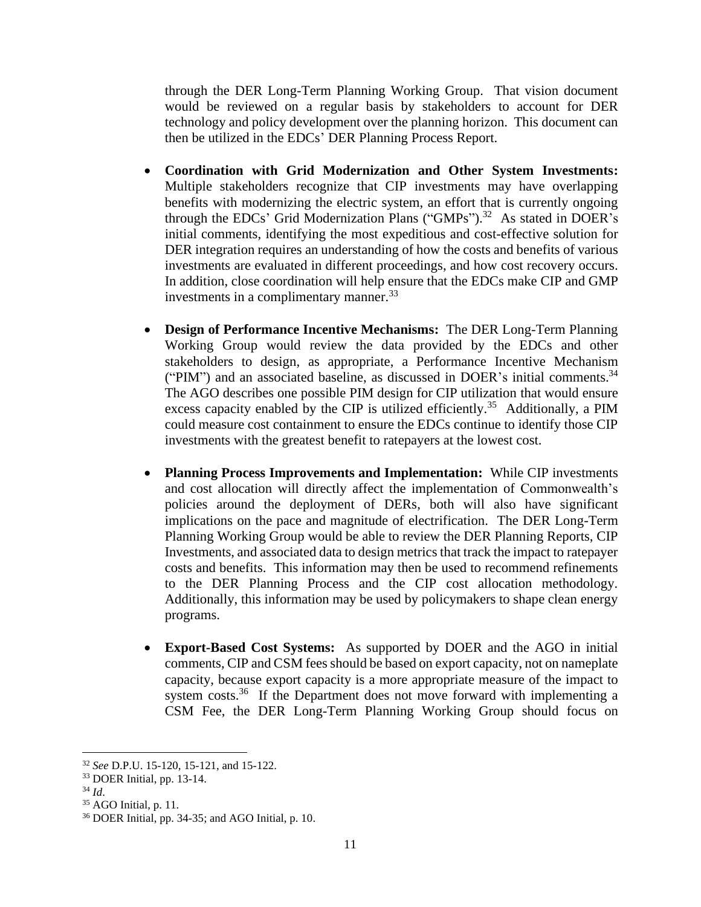through the DER Long-Term Planning Working Group. That vision document would be reviewed on a regular basis by stakeholders to account for DER technology and policy development over the planning horizon. This document can then be utilized in the EDCs' DER Planning Process Report.

- **Coordination with Grid Modernization and Other System Investments:** Multiple stakeholders recognize that CIP investments may have overlapping benefits with modernizing the electric system, an effort that is currently ongoing through the EDCs' Grid Modernization Plans ("GMPs").<sup>32</sup> As stated in DOER's initial comments, identifying the most expeditious and cost-effective solution for DER integration requires an understanding of how the costs and benefits of various investments are evaluated in different proceedings, and how cost recovery occurs. In addition, close coordination will help ensure that the EDCs make CIP and GMP investments in a complimentary manner.<sup>33</sup>
- **Design of Performance Incentive Mechanisms:** The DER Long-Term Planning Working Group would review the data provided by the EDCs and other stakeholders to design, as appropriate, a Performance Incentive Mechanism ("PIM") and an associated baseline, as discussed in DOER's initial comments. $34$ The AGO describes one possible PIM design for CIP utilization that would ensure excess capacity enabled by the CIP is utilized efficiently.<sup>35</sup> Additionally, a PIM could measure cost containment to ensure the EDCs continue to identify those CIP investments with the greatest benefit to ratepayers at the lowest cost.
- **Planning Process Improvements and Implementation:** While CIP investments and cost allocation will directly affect the implementation of Commonwealth's policies around the deployment of DERs, both will also have significant implications on the pace and magnitude of electrification. The DER Long-Term Planning Working Group would be able to review the DER Planning Reports, CIP Investments, and associated data to design metrics that track the impact to ratepayer costs and benefits. This information may then be used to recommend refinements to the DER Planning Process and the CIP cost allocation methodology. Additionally, this information may be used by policymakers to shape clean energy programs.
- **Export-Based Cost Systems:** As supported by DOER and the AGO in initial comments, CIP and CSM fees should be based on export capacity, not on nameplate capacity, because export capacity is a more appropriate measure of the impact to system costs.<sup>36</sup> If the Department does not move forward with implementing a CSM Fee, the DER Long-Term Planning Working Group should focus on

<sup>32</sup> *See* D.P.U. 15-120, 15-121, and 15-122.

<sup>33</sup> DOER Initial, pp. 13-14.

<sup>34</sup> *Id*.

<sup>&</sup>lt;sup>35</sup> AGO Initial, p. 11.

<sup>36</sup> DOER Initial, pp. 34-35; and AGO Initial, p. 10.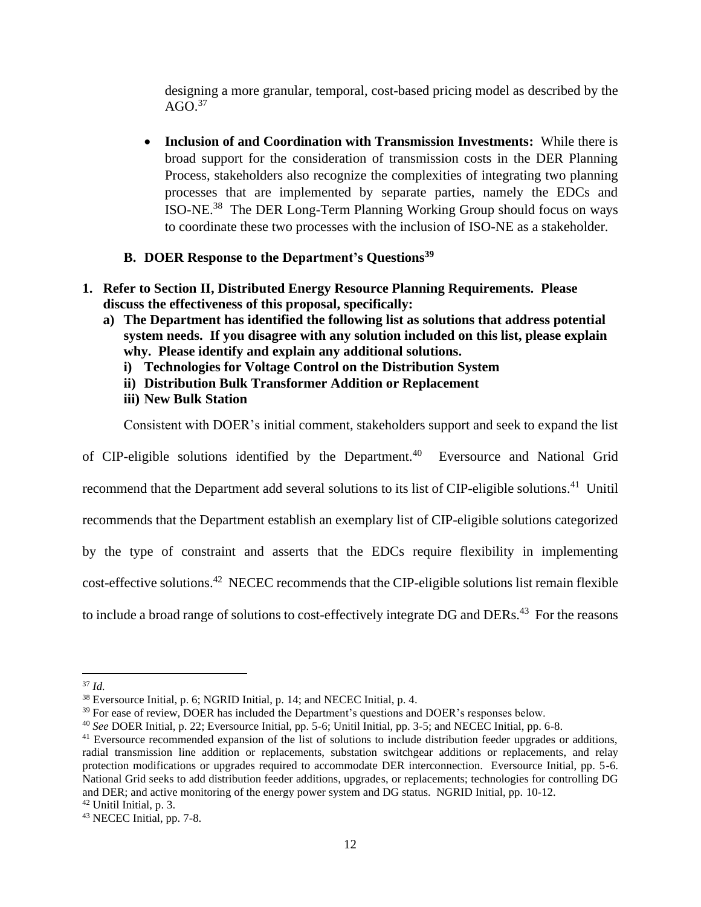<span id="page-11-0"></span>designing a more granular, temporal, cost-based pricing model as described by the  $AGO<sup>37</sup>$ 

• **Inclusion of and Coordination with Transmission Investments:** While there is broad support for the consideration of transmission costs in the DER Planning Process, stakeholders also recognize the complexities of integrating two planning processes that are implemented by separate parties, namely the EDCs and ISO-NE.<sup>38</sup> The DER Long-Term Planning Working Group should focus on ways to coordinate these two processes with the inclusion of ISO-NE as a stakeholder.

### **B. DOER Response to the Department's Questions<sup>39</sup>**

- **1. Refer to Section II, Distributed Energy Resource Planning Requirements. Please discuss the effectiveness of this proposal, specifically:**
	- **a) The Department has identified the following list as solutions that address potential system needs. If you disagree with any solution included on this list, please explain why. Please identify and explain any additional solutions.** 
		- **i) Technologies for Voltage Control on the Distribution System**
		- **ii) Distribution Bulk Transformer Addition or Replacement**
		- **iii) New Bulk Station**

Consistent with DOER's initial comment, stakeholders support and seek to expand the list

of CIP-eligible solutions identified by the Department.<sup>40</sup> Eversource and National Grid recommend that the Department add several solutions to its list of CIP-eligible solutions.<sup>41</sup> Unitil recommends that the Department establish an exemplary list of CIP-eligible solutions categorized by the type of constraint and asserts that the EDCs require flexibility in implementing cost-effective solutions.<sup>42</sup> NECEC recommends that the CIP-eligible solutions list remain flexible to include a broad range of solutions to cost-effectively integrate DG and DERs.<sup>43</sup> For the reasons

<sup>37</sup> *Id.*

<sup>38</sup> Eversource Initial, p. 6; NGRID Initial, p. 14; and NECEC Initial, p. 4.

<sup>&</sup>lt;sup>39</sup> For ease of review, DOER has included the Department's questions and DOER's responses below.

<sup>40</sup> *See* DOER Initial, p. 22; Eversource Initial, pp. 5-6; Unitil Initial, pp. 3-5; and NECEC Initial, pp. 6-8.

<sup>&</sup>lt;sup>41</sup> Eversource recommended expansion of the list of solutions to include distribution feeder upgrades or additions, radial transmission line addition or replacements, substation switchgear additions or replacements, and relay protection modifications or upgrades required to accommodate DER interconnection. Eversource Initial, pp. 5-6. National Grid seeks to add distribution feeder additions, upgrades, or replacements; technologies for controlling DG and DER; and active monitoring of the energy power system and DG status. NGRID Initial, pp. 10-12.

 $42$  Unitil Initial, p. 3.

<sup>43</sup> NECEC Initial, pp. 7-8.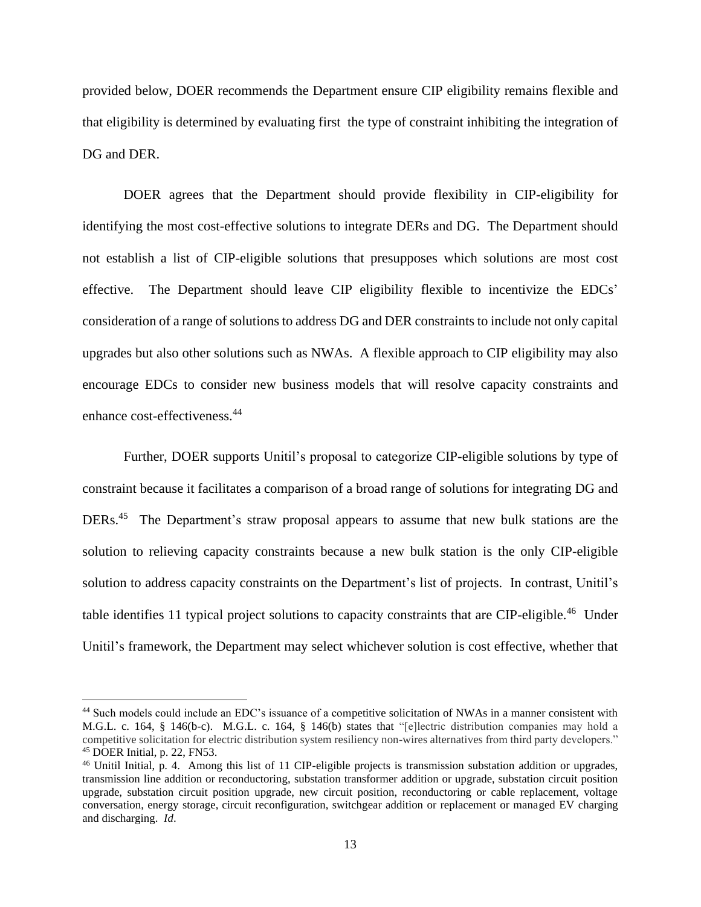provided below, DOER recommends the Department ensure CIP eligibility remains flexible and that eligibility is determined by evaluating first the type of constraint inhibiting the integration of DG and DER.

DOER agrees that the Department should provide flexibility in CIP-eligibility for identifying the most cost-effective solutions to integrate DERs and DG. The Department should not establish a list of CIP-eligible solutions that presupposes which solutions are most cost effective. The Department should leave CIP eligibility flexible to incentivize the EDCs' consideration of a range of solutions to address DG and DER constraints to include not only capital upgrades but also other solutions such as NWAs. A flexible approach to CIP eligibility may also encourage EDCs to consider new business models that will resolve capacity constraints and enhance cost-effectiveness.<sup>44</sup>

Further, DOER supports Unitil's proposal to categorize CIP-eligible solutions by type of constraint because it facilitates a comparison of a broad range of solutions for integrating DG and DERs.<sup>45</sup> The Department's straw proposal appears to assume that new bulk stations are the solution to relieving capacity constraints because a new bulk station is the only CIP-eligible solution to address capacity constraints on the Department's list of projects. In contrast, Unitil's table identifies 11 typical project solutions to capacity constraints that are CIP-eligible.<sup>46</sup> Under Unitil's framework, the Department may select whichever solution is cost effective, whether that

<sup>44</sup> Such models could include an EDC's issuance of a competitive solicitation of NWAs in a manner consistent with M.G.L. c. 164, § 146(b-c). M.G.L. c. 164, § 146(b) states that "[e]lectric distribution companies may hold a competitive solicitation for electric distribution system resiliency non-wires alternatives from third party developers." <sup>45</sup> DOER Initial, p. 22, FN53.

<sup>46</sup> Unitil Initial, p. 4. Among this list of 11 CIP-eligible projects is transmission substation addition or upgrades, transmission line addition or reconductoring, substation transformer addition or upgrade, substation circuit position upgrade, substation circuit position upgrade, new circuit position, reconductoring or cable replacement, voltage conversation, energy storage, circuit reconfiguration, switchgear addition or replacement or managed EV charging and discharging. *Id*.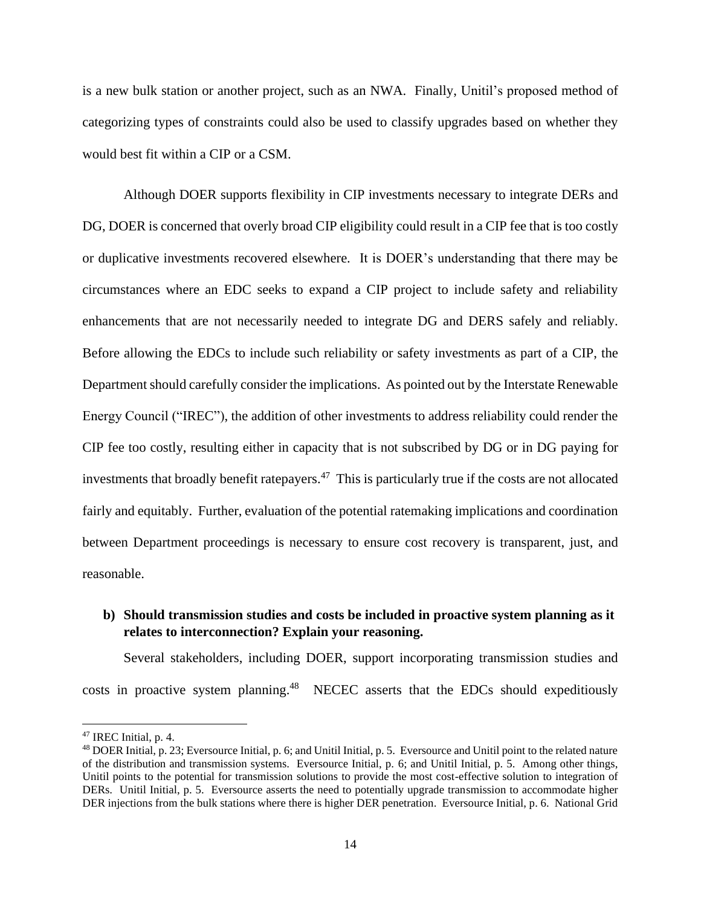is a new bulk station or another project, such as an NWA. Finally, Unitil's proposed method of categorizing types of constraints could also be used to classify upgrades based on whether they would best fit within a CIP or a CSM.

Although DOER supports flexibility in CIP investments necessary to integrate DERs and DG, DOER is concerned that overly broad CIP eligibility could result in a CIP fee that is too costly or duplicative investments recovered elsewhere. It is DOER's understanding that there may be circumstances where an EDC seeks to expand a CIP project to include safety and reliability enhancements that are not necessarily needed to integrate DG and DERS safely and reliably. Before allowing the EDCs to include such reliability or safety investments as part of a CIP, the Department should carefully consider the implications. As pointed out by the Interstate Renewable Energy Council ("IREC"), the addition of other investments to address reliability could render the CIP fee too costly, resulting either in capacity that is not subscribed by DG or in DG paying for investments that broadly benefit ratepayers.<sup>47</sup> This is particularly true if the costs are not allocated fairly and equitably. Further, evaluation of the potential ratemaking implications and coordination between Department proceedings is necessary to ensure cost recovery is transparent, just, and reasonable.

## **b) Should transmission studies and costs be included in proactive system planning as it relates to interconnection? Explain your reasoning.**

Several stakeholders, including DOER, support incorporating transmission studies and costs in proactive system planning.<sup>48</sup> NECEC asserts that the EDCs should expeditiously

<sup>47</sup> IREC Initial, p. 4.

<sup>48</sup> DOER Initial, p. 23; Eversource Initial, p. 6; and Unitil Initial, p. 5. Eversource and Unitil point to the related nature of the distribution and transmission systems. Eversource Initial, p. 6; and Unitil Initial, p. 5. Among other things, Unitil points to the potential for transmission solutions to provide the most cost-effective solution to integration of DERs. Unitil Initial, p. 5. Eversource asserts the need to potentially upgrade transmission to accommodate higher DER injections from the bulk stations where there is higher DER penetration. Eversource Initial, p. 6. National Grid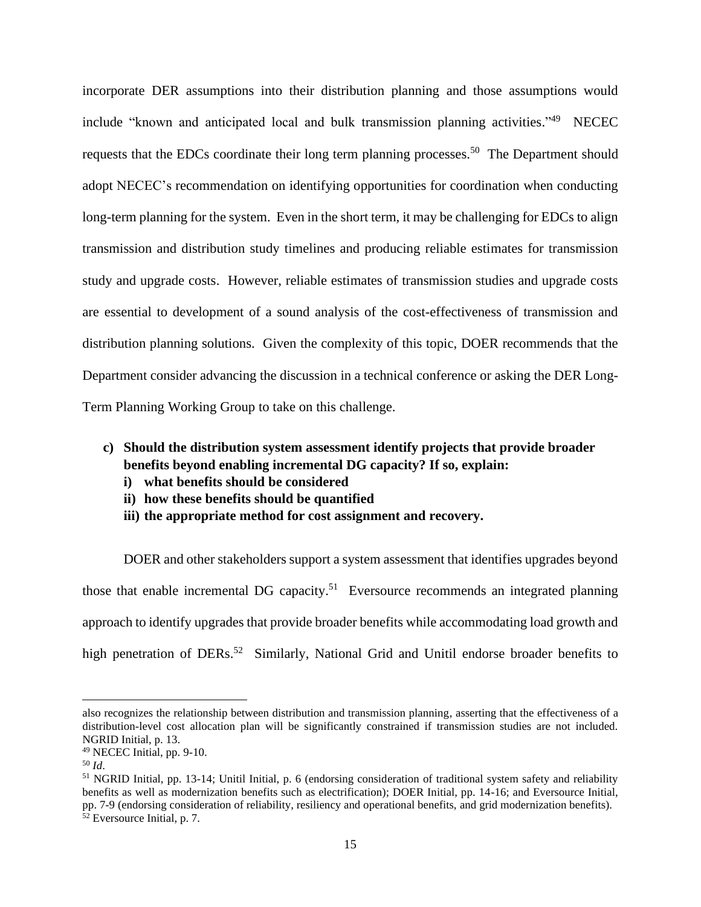incorporate DER assumptions into their distribution planning and those assumptions would include "known and anticipated local and bulk transmission planning activities."<sup>49</sup> NECEC requests that the EDCs coordinate their long term planning processes.<sup>50</sup> The Department should adopt NECEC's recommendation on identifying opportunities for coordination when conducting long-term planning for the system. Even in the short term, it may be challenging for EDCs to align transmission and distribution study timelines and producing reliable estimates for transmission study and upgrade costs. However, reliable estimates of transmission studies and upgrade costs are essential to development of a sound analysis of the cost-effectiveness of transmission and distribution planning solutions. Given the complexity of this topic, DOER recommends that the Department consider advancing the discussion in a technical conference or asking the DER Long-Term Planning Working Group to take on this challenge.

- **c) Should the distribution system assessment identify projects that provide broader benefits beyond enabling incremental DG capacity? If so, explain:**
	- **i) what benefits should be considered**
	- **ii) how these benefits should be quantified**
	- **iii) the appropriate method for cost assignment and recovery.**

DOER and other stakeholders support a system assessment that identifies upgrades beyond those that enable incremental DG capacity.<sup>51</sup> Eversource recommends an integrated planning approach to identify upgrades that provide broader benefits while accommodating load growth and high penetration of DERs.<sup>52</sup> Similarly, National Grid and Unitil endorse broader benefits to

also recognizes the relationship between distribution and transmission planning, asserting that the effectiveness of a distribution-level cost allocation plan will be significantly constrained if transmission studies are not included. NGRID Initial, p. 13.

<sup>49</sup> NECEC Initial, pp. 9-10.

<sup>50</sup> *Id*.

<sup>51</sup> NGRID Initial, pp. 13-14; Unitil Initial, p. 6 (endorsing consideration of traditional system safety and reliability benefits as well as modernization benefits such as electrification); DOER Initial, pp. 14-16; and Eversource Initial, pp. 7-9 (endorsing consideration of reliability, resiliency and operational benefits, and grid modernization benefits). <sup>52</sup> Eversource Initial, p. 7.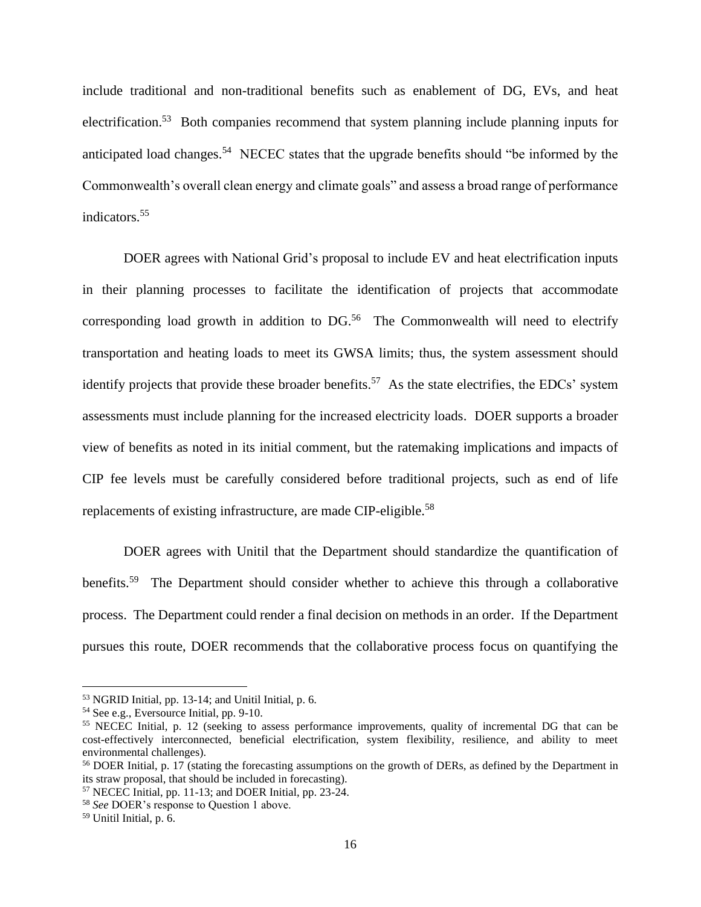include traditional and non-traditional benefits such as enablement of DG, EVs, and heat electrification.<sup>53</sup> Both companies recommend that system planning include planning inputs for anticipated load changes.<sup>54</sup> NECEC states that the upgrade benefits should "be informed by the Commonwealth's overall clean energy and climate goals" and assess a broad range of performance indicators.<sup>55</sup>

DOER agrees with National Grid's proposal to include EV and heat electrification inputs in their planning processes to facilitate the identification of projects that accommodate corresponding load growth in addition to  $DG<sup>56</sup>$ . The Commonwealth will need to electrify transportation and heating loads to meet its GWSA limits; thus, the system assessment should identify projects that provide these broader benefits.<sup>57</sup> As the state electrifies, the EDCs' system assessments must include planning for the increased electricity loads. DOER supports a broader view of benefits as noted in its initial comment, but the ratemaking implications and impacts of CIP fee levels must be carefully considered before traditional projects, such as end of life replacements of existing infrastructure, are made CIP-eligible.<sup>58</sup>

DOER agrees with Unitil that the Department should standardize the quantification of benefits.<sup>59</sup> The Department should consider whether to achieve this through a collaborative process. The Department could render a final decision on methods in an order. If the Department pursues this route, DOER recommends that the collaborative process focus on quantifying the

<sup>53</sup> NGRID Initial, pp. 13-14; and Unitil Initial, p. 6.

<sup>54</sup> See e.g., Eversource Initial, pp. 9-10.

<sup>55</sup> NECEC Initial, p. 12 (seeking to assess performance improvements, quality of incremental DG that can be cost-effectively interconnected, beneficial electrification, system flexibility, resilience, and ability to meet environmental challenges).

<sup>56</sup> DOER Initial, p. 17 (stating the forecasting assumptions on the growth of DERs, as defined by the Department in its straw proposal, that should be included in forecasting).

<sup>57</sup> NECEC Initial, pp. 11-13; and DOER Initial, pp. 23-24.

<sup>58</sup> *See* DOER's response to Question 1 above.

 $59$  Unitil Initial, p. 6.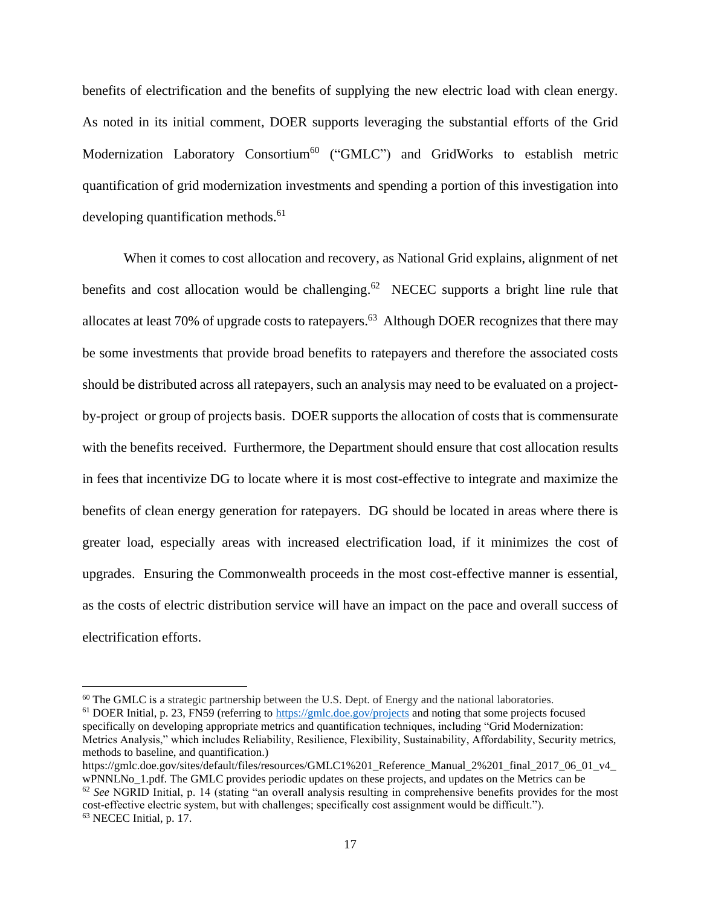benefits of electrification and the benefits of supplying the new electric load with clean energy. As noted in its initial comment, DOER supports leveraging the substantial efforts of the Grid Modernization Laboratory Consortium<sup>60</sup> ("GMLC") and GridWorks to establish metric quantification of grid modernization investments and spending a portion of this investigation into developing quantification methods. 61

When it comes to cost allocation and recovery, as National Grid explains, alignment of net benefits and cost allocation would be challenging.<sup>62</sup> NECEC supports a bright line rule that allocates at least 70% of upgrade costs to ratepayers.<sup>63</sup> Although DOER recognizes that there may be some investments that provide broad benefits to ratepayers and therefore the associated costs should be distributed across all ratepayers, such an analysis may need to be evaluated on a projectby-project or group of projects basis. DOER supports the allocation of costs that is commensurate with the benefits received. Furthermore, the Department should ensure that cost allocation results in fees that incentivize DG to locate where it is most cost-effective to integrate and maximize the benefits of clean energy generation for ratepayers. DG should be located in areas where there is greater load, especially areas with increased electrification load, if it minimizes the cost of upgrades. Ensuring the Commonwealth proceeds in the most cost-effective manner is essential, as the costs of electric distribution service will have an impact on the pace and overall success of electrification efforts.

 $60$  The GMLC is a strategic partnership between the U.S. Dept. of Energy and the national laboratories.

<sup>61</sup> DOER Initial, p. 23, FN59 (referring to<https://gmlc.doe.gov/projects> and noting that some projects focused specifically on developing appropriate metrics and quantification techniques, including "Grid Modernization: Metrics Analysis," which includes Reliability, Resilience, Flexibility, Sustainability, Affordability, Security metrics, methods to baseline, and quantification.)

https://gmlc.doe.gov/sites/default/files/resources/GMLC1%201\_Reference\_Manual\_2%201\_final\_2017\_06\_01\_v4\_ wPNNLNo. 1.pdf. The GMLC provides periodic updates on these projects, and updates on the Metrics can be

<sup>62</sup> *See* NGRID Initial, p. 14 (stating "an overall analysis resulting in comprehensive benefits provides for the most cost-effective electric system, but with challenges; specifically cost assignment would be difficult."). <sup>63</sup> NECEC Initial, p. 17.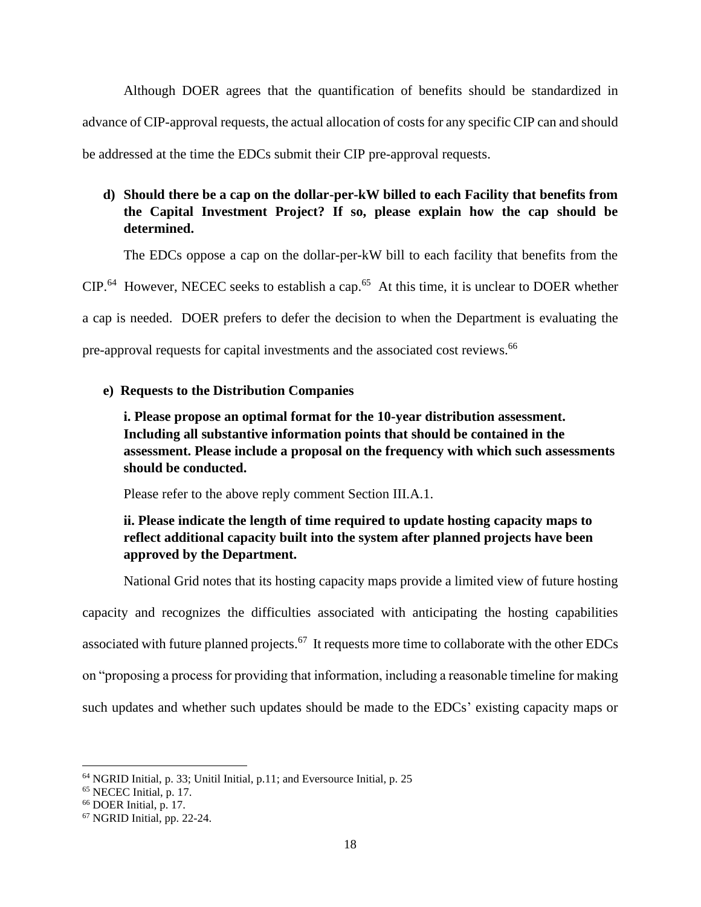Although DOER agrees that the quantification of benefits should be standardized in advance of CIP-approval requests, the actual allocation of costs for any specific CIP can and should be addressed at the time the EDCs submit their CIP pre-approval requests.

# **d) Should there be a cap on the dollar-per-kW billed to each Facility that benefits from the Capital Investment Project? If so, please explain how the cap should be determined.**

The EDCs oppose a cap on the dollar-per-kW bill to each facility that benefits from the

 $CIP<sup>64</sup>$  However, NECEC seeks to establish a cap.<sup>65</sup> At this time, it is unclear to DOER whether

a cap is needed. DOER prefers to defer the decision to when the Department is evaluating the

pre-approval requests for capital investments and the associated cost reviews. 66

### **e) Requests to the Distribution Companies**

**i. Please propose an optimal format for the 10-year distribution assessment. Including all substantive information points that should be contained in the assessment. Please include a proposal on the frequency with which such assessments should be conducted.** 

Please refer to the above reply comment Section III.A.1.

# **ii. Please indicate the length of time required to update hosting capacity maps to reflect additional capacity built into the system after planned projects have been approved by the Department.**

National Grid notes that its hosting capacity maps provide a limited view of future hosting capacity and recognizes the difficulties associated with anticipating the hosting capabilities associated with future planned projects.<sup>67</sup> It requests more time to collaborate with the other EDCs on "proposing a process for providing that information, including a reasonable timeline for making such updates and whether such updates should be made to the EDCs' existing capacity maps or

<sup>64</sup> NGRID Initial, p. 33; Unitil Initial, p.11; and Eversource Initial, p. 25

<sup>65</sup> NECEC Initial, p. 17.

<sup>66</sup> DOER Initial, p. 17.

<sup>67</sup> NGRID Initial, pp. 22-24.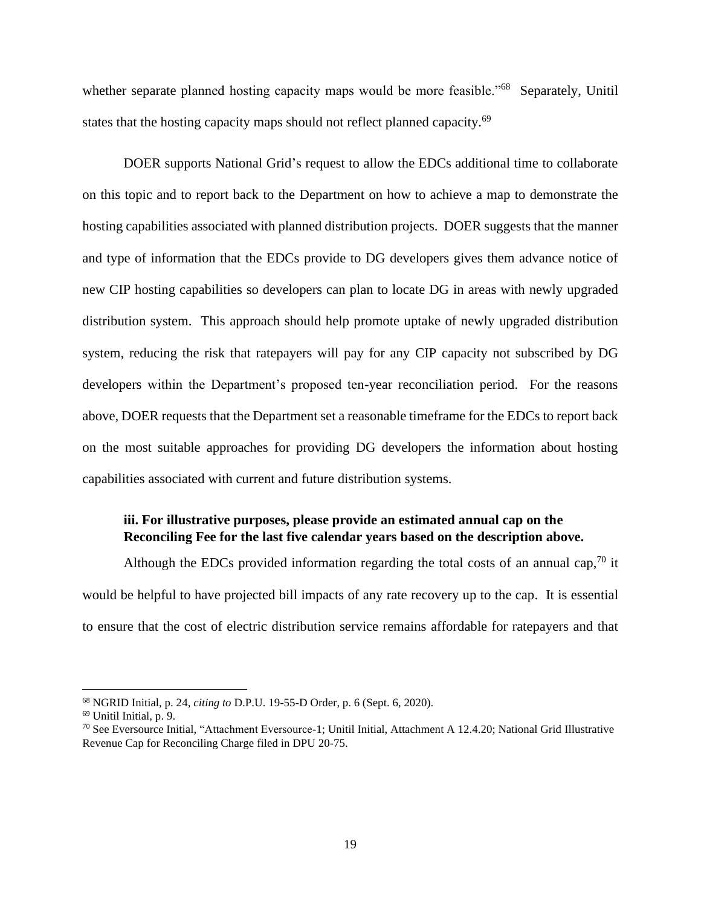whether separate planned hosting capacity maps would be more feasible."<sup>68</sup> Separately, Unitil states that the hosting capacity maps should not reflect planned capacity.<sup>69</sup>

DOER supports National Grid's request to allow the EDCs additional time to collaborate on this topic and to report back to the Department on how to achieve a map to demonstrate the hosting capabilities associated with planned distribution projects. DOER suggests that the manner and type of information that the EDCs provide to DG developers gives them advance notice of new CIP hosting capabilities so developers can plan to locate DG in areas with newly upgraded distribution system. This approach should help promote uptake of newly upgraded distribution system, reducing the risk that ratepayers will pay for any CIP capacity not subscribed by DG developers within the Department's proposed ten-year reconciliation period. For the reasons above, DOER requests that the Department set a reasonable timeframe for the EDCs to report back on the most suitable approaches for providing DG developers the information about hosting capabilities associated with current and future distribution systems.

### **iii. For illustrative purposes, please provide an estimated annual cap on the Reconciling Fee for the last five calendar years based on the description above.**

Although the EDCs provided information regarding the total costs of an annual cap,<sup>70</sup> it would be helpful to have projected bill impacts of any rate recovery up to the cap. It is essential to ensure that the cost of electric distribution service remains affordable for ratepayers and that

<sup>68</sup> NGRID Initial, p. 24, *citing to* D.P.U. 19-55-D Order, p. 6 (Sept. 6, 2020).

<sup>69</sup> Unitil Initial, p. 9.

 $70$  See Eversource Initial, "Attachment Eversource-1; Unitil Initial, Attachment A 12.4.20; National Grid Illustrative Revenue Cap for Reconciling Charge filed in DPU 20-75.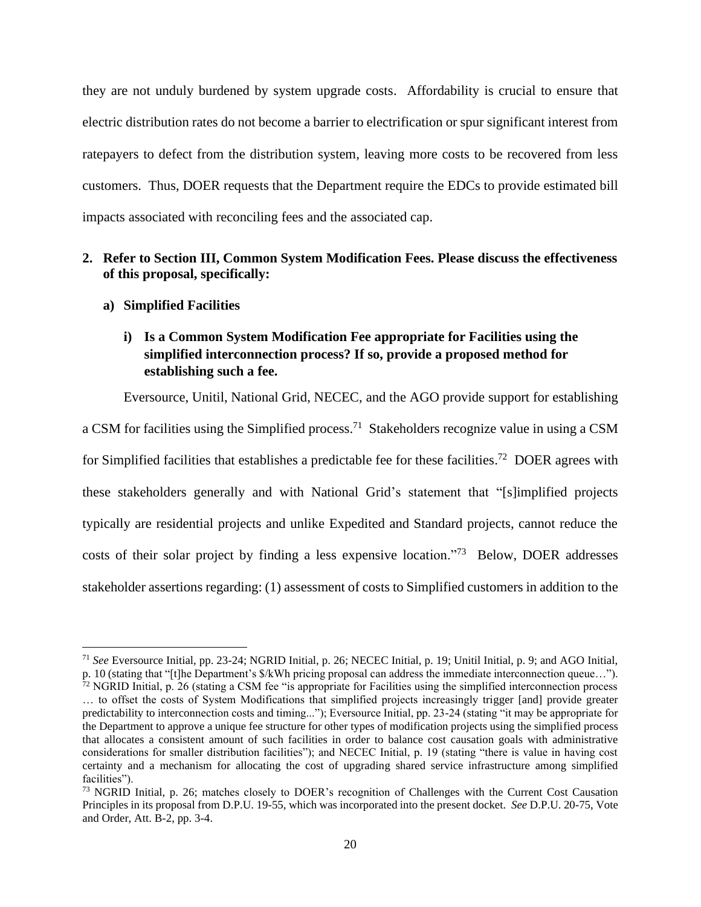they are not unduly burdened by system upgrade costs. Affordability is crucial to ensure that electric distribution rates do not become a barrier to electrification or spur significant interest from ratepayers to defect from the distribution system, leaving more costs to be recovered from less customers. Thus, DOER requests that the Department require the EDCs to provide estimated bill impacts associated with reconciling fees and the associated cap.

## **2. Refer to Section III, Common System Modification Fees. Please discuss the effectiveness of this proposal, specifically:**

#### **a) Simplified Facilities**

## **i) Is a Common System Modification Fee appropriate for Facilities using the simplified interconnection process? If so, provide a proposed method for establishing such a fee.**

Eversource, Unitil, National Grid, NECEC, and the AGO provide support for establishing

a CSM for facilities using the Simplified process.<sup>71</sup> Stakeholders recognize value in using a CSM for Simplified facilities that establishes a predictable fee for these facilities.<sup>72</sup> DOER agrees with these stakeholders generally and with National Grid's statement that "[s]implified projects typically are residential projects and unlike Expedited and Standard projects, cannot reduce the costs of their solar project by finding a less expensive location."<sup>73</sup> Below, DOER addresses stakeholder assertions regarding: (1) assessment of costs to Simplified customers in addition to the

<sup>71</sup> *See* Eversource Initial, pp. 23-24; NGRID Initial, p. 26; NECEC Initial, p. 19; Unitil Initial, p. 9; and AGO Initial, p. 10 (stating that "[t]he Department's \$/kWh pricing proposal can address the immediate interconnection queue…").

 $72$  NGRID Initial, p. 26 (stating a CSM fee "is appropriate for Facilities using the simplified interconnection process … to offset the costs of System Modifications that simplified projects increasingly trigger [and] provide greater predictability to interconnection costs and timing..."); Eversource Initial, pp. 23-24 (stating "it may be appropriate for the Department to approve a unique fee structure for other types of modification projects using the simplified process that allocates a consistent amount of such facilities in order to balance cost causation goals with administrative considerations for smaller distribution facilities"); and NECEC Initial, p. 19 (stating "there is value in having cost certainty and a mechanism for allocating the cost of upgrading shared service infrastructure among simplified facilities").

<sup>73</sup> NGRID Initial, p. 26; matches closely to DOER's recognition of Challenges with the Current Cost Causation Principles in its proposal from D.P.U. 19-55, which was incorporated into the present docket. *See* D.P.U. 20-75, Vote and Order, Att. B-2, pp. 3-4.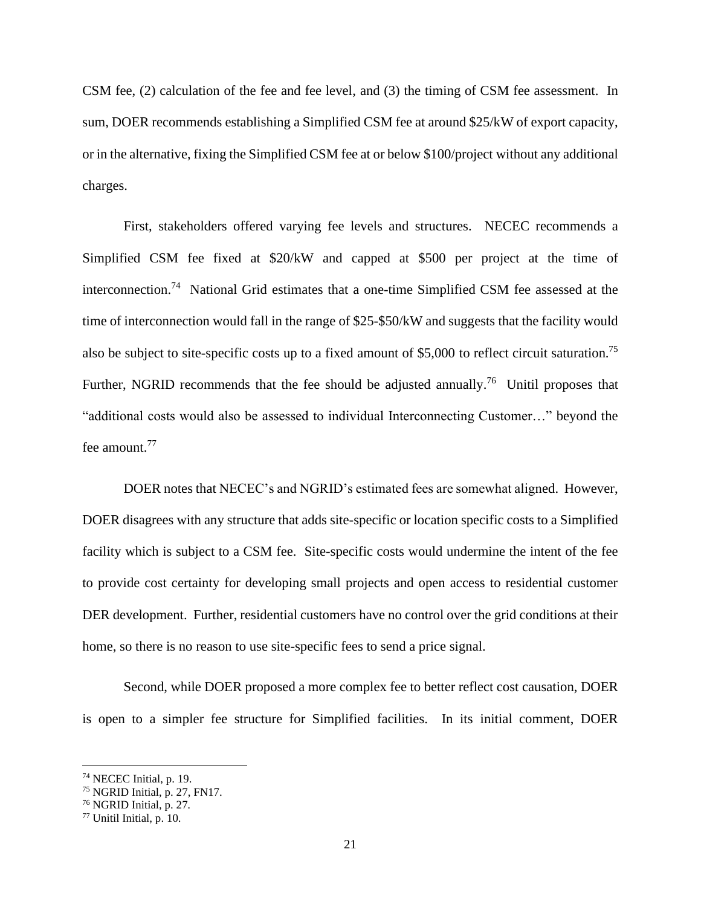CSM fee, (2) calculation of the fee and fee level, and (3) the timing of CSM fee assessment. In sum, DOER recommends establishing a Simplified CSM fee at around \$25/kW of export capacity, or in the alternative, fixing the Simplified CSM fee at or below \$100/project without any additional charges.

First, stakeholders offered varying fee levels and structures. NECEC recommends a Simplified CSM fee fixed at \$20/kW and capped at \$500 per project at the time of interconnection. <sup>74</sup> National Grid estimates that a one-time Simplified CSM fee assessed at the time of interconnection would fall in the range of \$25-\$50/kW and suggests that the facility would also be subject to site-specific costs up to a fixed amount of \$5,000 to reflect circuit saturation.<sup>75</sup> Further, NGRID recommends that the fee should be adjusted annually.<sup>76</sup> Unitil proposes that "additional costs would also be assessed to individual Interconnecting Customer…" beyond the fee amount.<sup>77</sup>

DOER notes that NECEC's and NGRID's estimated fees are somewhat aligned. However, DOER disagrees with any structure that adds site-specific or location specific costs to a Simplified facility which is subject to a CSM fee. Site-specific costs would undermine the intent of the fee to provide cost certainty for developing small projects and open access to residential customer DER development. Further, residential customers have no control over the grid conditions at their home, so there is no reason to use site-specific fees to send a price signal.

Second, while DOER proposed a more complex fee to better reflect cost causation, DOER is open to a simpler fee structure for Simplified facilities. In its initial comment, DOER

<sup>74</sup> NECEC Initial, p. 19.

<sup>75</sup> NGRID Initial, p. 27, FN17.

<sup>76</sup> NGRID Initial, p. 27*.*

<sup>77</sup> Unitil Initial, p. 10.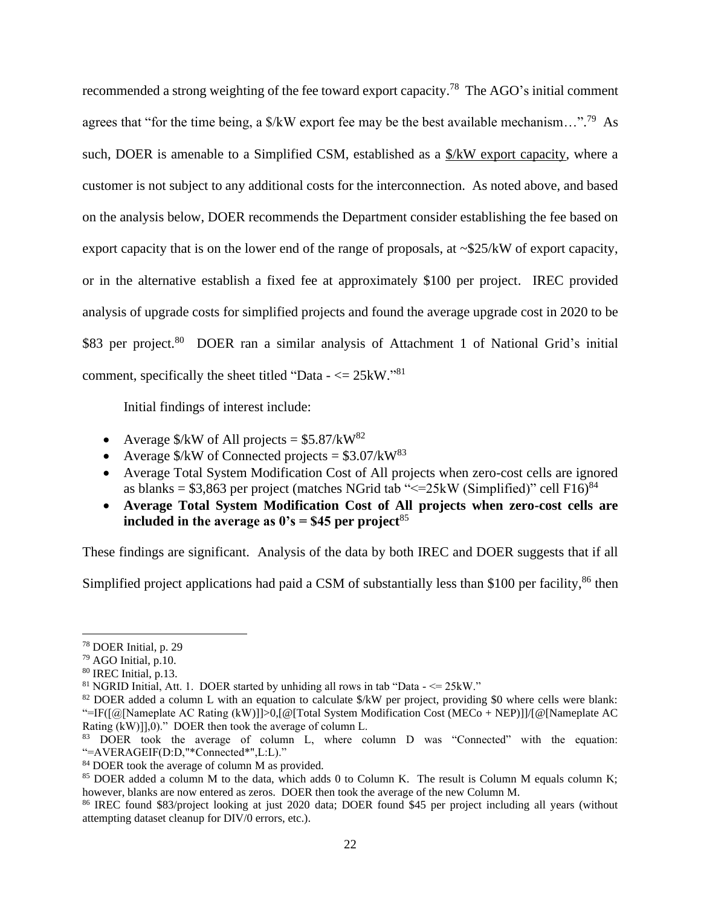recommended a strong weighting of the fee toward export capacity.<sup>78</sup> The AGO's initial comment agrees that "for the time being, a  $\frac{1}{8}$  X export fee may be the best available mechanism...".<sup>79</sup> As such, DOER is amenable to a Simplified CSM, established as a \$/kW export capacity, where a customer is not subject to any additional costs for the interconnection. As noted above, and based on the analysis below, DOER recommends the Department consider establishing the fee based on export capacity that is on the lower end of the range of proposals, at ~\$25/kW of export capacity, or in the alternative establish a fixed fee at approximately \$100 per project. IREC provided analysis of upgrade costs for simplified projects and found the average upgrade cost in 2020 to be \$83 per project.<sup>80</sup> DOER ran a similar analysis of Attachment 1 of National Grid's initial comment, specifically the sheet titled "Data  $\sim$  = 25kW."<sup>81</sup>

Initial findings of interest include:

- Average  $\frac{1}{2}$  Average  $\frac{1}{2}$  AV of All projects = \$5.87/kW<sup>82</sup>
- Average  $\frac{\text{S}}{\text{W}}$  of Connected projects = \$3.07/kW<sup>83</sup>
- Average Total System Modification Cost of All projects when zero-cost cells are ignored as blanks =  $$3,863$  per project (matches NGrid tab "<=25kW (Simplified)" cell F16)<sup>84</sup>
- **Average Total System Modification Cost of All projects when zero-cost cells are included in the average as**  $0's = $45$  **per project**<sup>85</sup>

These findings are significant. Analysis of the data by both IREC and DOER suggests that if all

Simplified project applications had paid a CSM of substantially less than \$100 per facility,<sup>86</sup> then

<sup>78</sup> DOER Initial, p. 29

<sup>79</sup> AGO Initial, p.10.

<sup>80</sup> IREC Initial, p.13.

<sup>&</sup>lt;sup>81</sup> NGRID Initial, Att. 1. DOER started by unhiding all rows in tab "Data  $\leq$  = 25kW."

<sup>&</sup>lt;sup>82</sup> DOER added a column L with an equation to calculate \$/kW per project, providing \$0 where cells were blank: "=IF([@[Nameplate AC Rating (kW)]]>0,[@[Total System Modification Cost (MECo + NEP)]]/[@[Nameplate AC Rating (kW)]],0)." DOER then took the average of column L.

<sup>83</sup> DOER took the average of column L, where column D was "Connected" with the equation: "=AVERAGEIF(D:D,"\*Connected\*",L:L)."

<sup>84</sup> DOER took the average of column M as provided.

<sup>&</sup>lt;sup>85</sup> DOER added a column M to the data, which adds 0 to Column K. The result is Column M equals column K; however, blanks are now entered as zeros. DOER then took the average of the new Column M.

<sup>86</sup> IREC found \$83/project looking at just 2020 data; DOER found \$45 per project including all years (without attempting dataset cleanup for DIV/0 errors, etc.).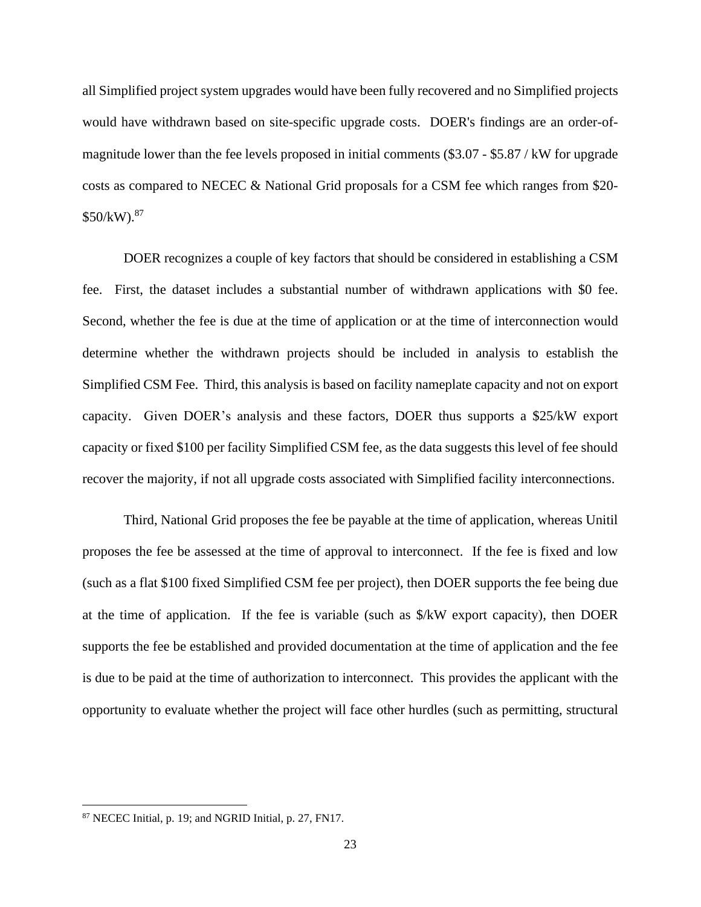all Simplified project system upgrades would have been fully recovered and no Simplified projects would have withdrawn based on site-specific upgrade costs. DOER's findings are an order-ofmagnitude lower than the fee levels proposed in initial comments (\$3.07 - \$5.87 / kW for upgrade costs as compared to NECEC & National Grid proposals for a CSM fee which ranges from \$20-  $$50/kW$ ).<sup>87</sup>

DOER recognizes a couple of key factors that should be considered in establishing a CSM fee. First, the dataset includes a substantial number of withdrawn applications with \$0 fee. Second, whether the fee is due at the time of application or at the time of interconnection would determine whether the withdrawn projects should be included in analysis to establish the Simplified CSM Fee. Third, this analysis is based on facility nameplate capacity and not on export capacity. Given DOER's analysis and these factors, DOER thus supports a \$25/kW export capacity or fixed \$100 per facility Simplified CSM fee, as the data suggests this level of fee should recover the majority, if not all upgrade costs associated with Simplified facility interconnections.

Third, National Grid proposes the fee be payable at the time of application, whereas Unitil proposes the fee be assessed at the time of approval to interconnect. If the fee is fixed and low (such as a flat \$100 fixed Simplified CSM fee per project), then DOER supports the fee being due at the time of application. If the fee is variable (such as \$/kW export capacity), then DOER supports the fee be established and provided documentation at the time of application and the fee is due to be paid at the time of authorization to interconnect. This provides the applicant with the opportunity to evaluate whether the project will face other hurdles (such as permitting, structural

<sup>87</sup> NECEC Initial, p. 19; and NGRID Initial, p. 27, FN17.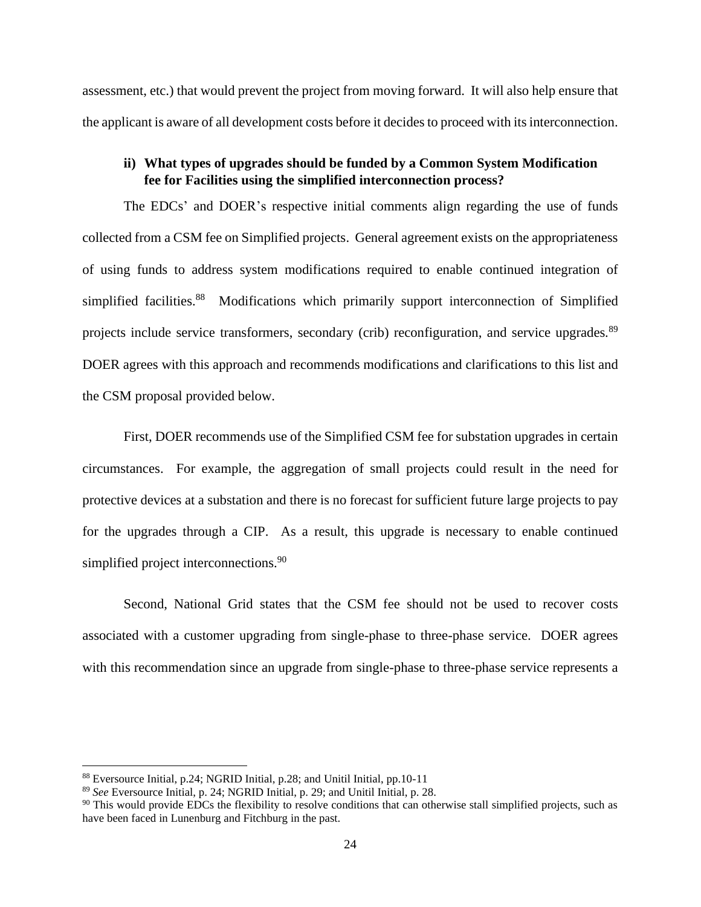assessment, etc.) that would prevent the project from moving forward. It will also help ensure that the applicant is aware of all development costs before it decides to proceed with its interconnection.

## **ii) What types of upgrades should be funded by a Common System Modification fee for Facilities using the simplified interconnection process?**

The EDCs' and DOER's respective initial comments align regarding the use of funds collected from a CSM fee on Simplified projects. General agreement exists on the appropriateness of using funds to address system modifications required to enable continued integration of simplified facilities.<sup>88</sup> Modifications which primarily support interconnection of Simplified projects include service transformers, secondary (crib) reconfiguration, and service upgrades.<sup>89</sup> DOER agrees with this approach and recommends modifications and clarifications to this list and the CSM proposal provided below.

First, DOER recommends use of the Simplified CSM fee for substation upgrades in certain circumstances. For example, the aggregation of small projects could result in the need for protective devices at a substation and there is no forecast for sufficient future large projects to pay for the upgrades through a CIP. As a result, this upgrade is necessary to enable continued simplified project interconnections.<sup>90</sup>

Second, National Grid states that the CSM fee should not be used to recover costs associated with a customer upgrading from single-phase to three-phase service. DOER agrees with this recommendation since an upgrade from single-phase to three-phase service represents a

<sup>88</sup> Eversource Initial, p.24; NGRID Initial, p.28; and Unitil Initial, pp.10-11

<sup>89</sup> *See* Eversource Initial, p. 24; NGRID Initial, p. 29; and Unitil Initial, p. 28.

<sup>&</sup>lt;sup>90</sup> This would provide EDCs the flexibility to resolve conditions that can otherwise stall simplified projects, such as have been faced in Lunenburg and Fitchburg in the past.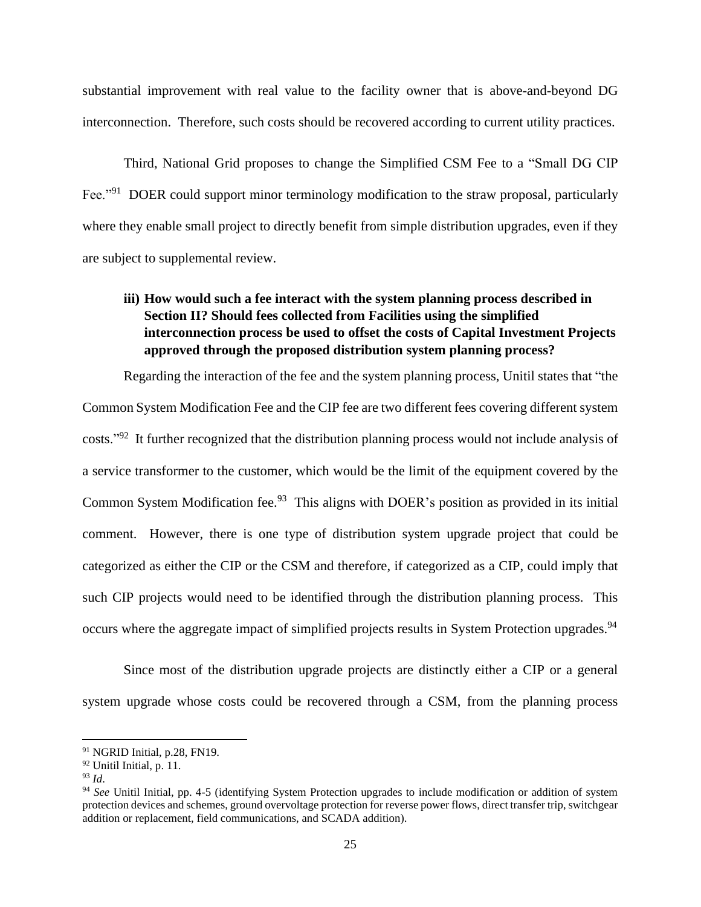substantial improvement with real value to the facility owner that is above-and-beyond DG interconnection. Therefore, such costs should be recovered according to current utility practices.

Third, National Grid proposes to change the Simplified CSM Fee to a "Small DG CIP Fee."<sup>91</sup> DOER could support minor terminology modification to the straw proposal, particularly where they enable small project to directly benefit from simple distribution upgrades, even if they are subject to supplemental review.

# **iii) How would such a fee interact with the system planning process described in Section II? Should fees collected from Facilities using the simplified interconnection process be used to offset the costs of Capital Investment Projects approved through the proposed distribution system planning process?**

Regarding the interaction of the fee and the system planning process, Unitil states that "the Common System Modification Fee and the CIP fee are two different fees covering different system costs."<sup>92</sup> It further recognized that the distribution planning process would not include analysis of a service transformer to the customer, which would be the limit of the equipment covered by the Common System Modification fee.<sup>93</sup> This aligns with DOER's position as provided in its initial comment. However, there is one type of distribution system upgrade project that could be categorized as either the CIP or the CSM and therefore, if categorized as a CIP, could imply that such CIP projects would need to be identified through the distribution planning process. This occurs where the aggregate impact of simplified projects results in System Protection upgrades.<sup>94</sup>

Since most of the distribution upgrade projects are distinctly either a CIP or a general system upgrade whose costs could be recovered through a CSM, from the planning process

<sup>91</sup> NGRID Initial, p.28, FN19.

<sup>92</sup> Unitil Initial, p. 11.

<sup>93</sup> *Id*.

<sup>94</sup> *See* Unitil Initial, pp. 4-5 (identifying System Protection upgrades to include modification or addition of system protection devices and schemes, ground overvoltage protection for reverse power flows, direct transfer trip, switchgear addition or replacement, field communications, and SCADA addition).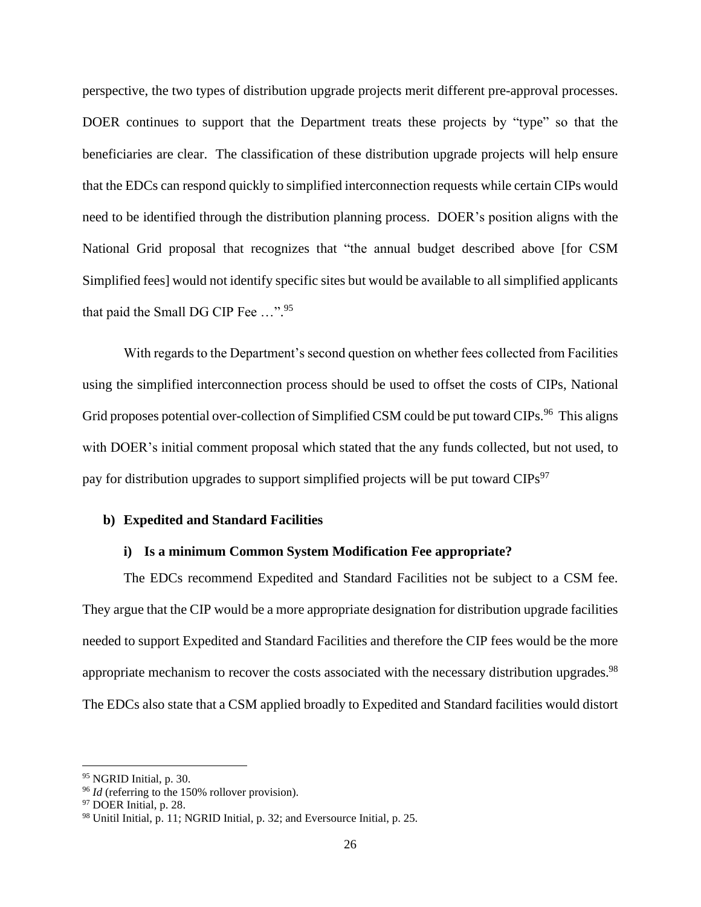perspective, the two types of distribution upgrade projects merit different pre-approval processes. DOER continues to support that the Department treats these projects by "type" so that the beneficiaries are clear. The classification of these distribution upgrade projects will help ensure that the EDCs can respond quickly to simplified interconnection requests while certain CIPs would need to be identified through the distribution planning process. DOER's position aligns with the National Grid proposal that recognizes that "the annual budget described above [for CSM Simplified fees] would not identify specific sites but would be available to all simplified applicants that paid the Small DG CIP Fee ...".<sup>95</sup>

With regards to the Department's second question on whether fees collected from Facilities using the simplified interconnection process should be used to offset the costs of CIPs, National Grid proposes potential over-collection of Simplified CSM could be put toward CIPs.<sup>96</sup> This aligns with DOER's initial comment proposal which stated that the any funds collected, but not used, to pay for distribution upgrades to support simplified projects will be put toward  $CIPs<sup>97</sup>$ 

#### **b) Expedited and Standard Facilities**

#### **i) Is a minimum Common System Modification Fee appropriate?**

The EDCs recommend Expedited and Standard Facilities not be subject to a CSM fee. They argue that the CIP would be a more appropriate designation for distribution upgrade facilities needed to support Expedited and Standard Facilities and therefore the CIP fees would be the more appropriate mechanism to recover the costs associated with the necessary distribution upgrades.<sup>98</sup> The EDCs also state that a CSM applied broadly to Expedited and Standard facilities would distort

<sup>&</sup>lt;sup>95</sup> NGRID Initial, p. 30.

<sup>&</sup>lt;sup>96</sup> *Id* (referring to the 150% rollover provision).

<sup>&</sup>lt;sup>97</sup> DOER Initial, p. 28.

<sup>98</sup> Unitil Initial, p. 11; NGRID Initial, p. 32; and Eversource Initial, p. 25.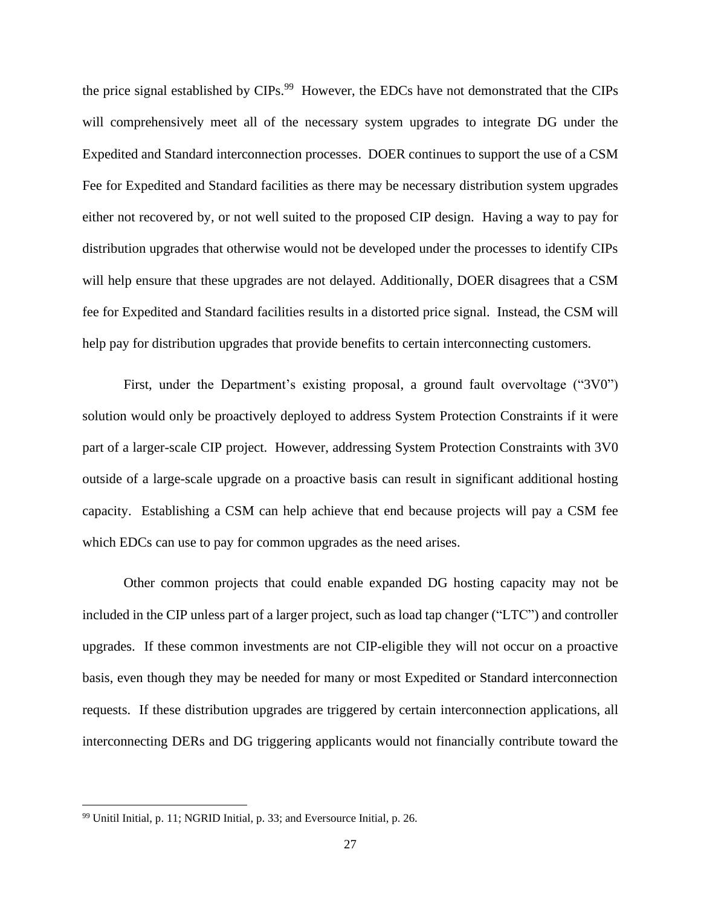the price signal established by CIPs.<sup>99</sup> However, the EDCs have not demonstrated that the CIPs will comprehensively meet all of the necessary system upgrades to integrate DG under the Expedited and Standard interconnection processes. DOER continues to support the use of a CSM Fee for Expedited and Standard facilities as there may be necessary distribution system upgrades either not recovered by, or not well suited to the proposed CIP design. Having a way to pay for distribution upgrades that otherwise would not be developed under the processes to identify CIPs will help ensure that these upgrades are not delayed. Additionally, DOER disagrees that a CSM fee for Expedited and Standard facilities results in a distorted price signal. Instead, the CSM will help pay for distribution upgrades that provide benefits to certain interconnecting customers.

First, under the Department's existing proposal, a ground fault overvoltage ("3V0") solution would only be proactively deployed to address System Protection Constraints if it were part of a larger-scale CIP project. However, addressing System Protection Constraints with 3V0 outside of a large-scale upgrade on a proactive basis can result in significant additional hosting capacity. Establishing a CSM can help achieve that end because projects will pay a CSM fee which EDCs can use to pay for common upgrades as the need arises.

Other common projects that could enable expanded DG hosting capacity may not be included in the CIP unless part of a larger project, such as load tap changer ("LTC") and controller upgrades. If these common investments are not CIP-eligible they will not occur on a proactive basis, even though they may be needed for many or most Expedited or Standard interconnection requests. If these distribution upgrades are triggered by certain interconnection applications, all interconnecting DERs and DG triggering applicants would not financially contribute toward the

<sup>99</sup> Unitil Initial, p. 11; NGRID Initial, p. 33; and Eversource Initial, p. 26.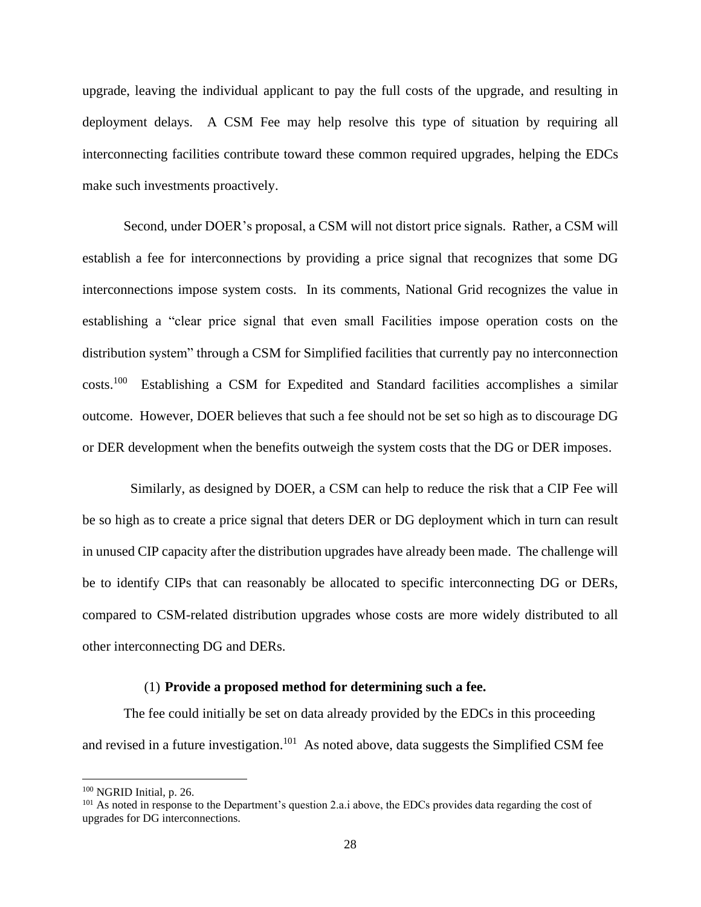upgrade, leaving the individual applicant to pay the full costs of the upgrade, and resulting in deployment delays. A CSM Fee may help resolve this type of situation by requiring all interconnecting facilities contribute toward these common required upgrades, helping the EDCs make such investments proactively.

Second, under DOER's proposal, a CSM will not distort price signals. Rather, a CSM will establish a fee for interconnections by providing a price signal that recognizes that some DG interconnections impose system costs. In its comments, National Grid recognizes the value in establishing a "clear price signal that even small Facilities impose operation costs on the distribution system" through a CSM for Simplified facilities that currently pay no interconnection costs.<sup>100</sup> Establishing a CSM for Expedited and Standard facilities accomplishes a similar outcome. However, DOER believes that such a fee should not be set so high as to discourage DG or DER development when the benefits outweigh the system costs that the DG or DER imposes.

 Similarly, as designed by DOER, a CSM can help to reduce the risk that a CIP Fee will be so high as to create a price signal that deters DER or DG deployment which in turn can result in unused CIP capacity after the distribution upgrades have already been made. The challenge will be to identify CIPs that can reasonably be allocated to specific interconnecting DG or DERs, compared to CSM-related distribution upgrades whose costs are more widely distributed to all other interconnecting DG and DERs.

#### (1) **Provide a proposed method for determining such a fee.**

The fee could initially be set on data already provided by the EDCs in this proceeding and revised in a future investigation.<sup>101</sup> As noted above, data suggests the Simplified CSM fee

<sup>100</sup> NGRID Initial, p. 26.

<sup>&</sup>lt;sup>101</sup> As noted in response to the Department's question 2.a.i above, the EDCs provides data regarding the cost of upgrades for DG interconnections.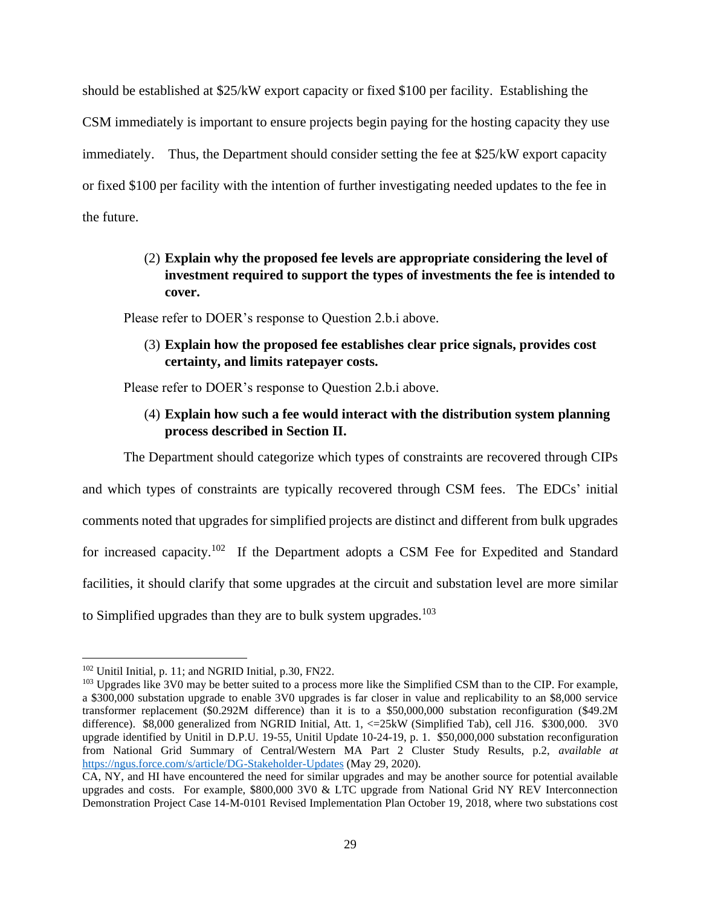should be established at \$25/kW export capacity or fixed \$100 per facility. Establishing the CSM immediately is important to ensure projects begin paying for the hosting capacity they use immediately. Thus, the Department should consider setting the fee at \$25/kW export capacity or fixed \$100 per facility with the intention of further investigating needed updates to the fee in the future.

# (2) **Explain why the proposed fee levels are appropriate considering the level of investment required to support the types of investments the fee is intended to cover.**

Please refer to DOER's response to Question 2.b.i above.

(3) **Explain how the proposed fee establishes clear price signals, provides cost certainty, and limits ratepayer costs.**

Please refer to DOER's response to Question 2.b.i above.

# (4) **Explain how such a fee would interact with the distribution system planning process described in Section II.**

The Department should categorize which types of constraints are recovered through CIPs and which types of constraints are typically recovered through CSM fees. The EDCs' initial

comments noted that upgrades for simplified projects are distinct and different from bulk upgrades

for increased capacity.<sup>102</sup> If the Department adopts a CSM Fee for Expedited and Standard

facilities, it should clarify that some upgrades at the circuit and substation level are more similar

to Simplified upgrades than they are to bulk system upgrades.<sup>103</sup>

<sup>102</sup> Unitil Initial, p. 11; and NGRID Initial, p.30, FN22.

<sup>&</sup>lt;sup>103</sup> Upgrades like 3V0 may be better suited to a process more like the Simplified CSM than to the CIP. For example, a \$300,000 substation upgrade to enable 3V0 upgrades is far closer in value and replicability to an \$8,000 service transformer replacement (\$0.292M difference) than it is to a \$50,000,000 substation reconfiguration (\$49.2M difference). \$8,000 generalized from NGRID Initial, Att. 1, <=25kW (Simplified Tab), cell J16. \$300,000. 3V0 upgrade identified by Unitil in D.P.U. 19-55, Unitil Update 10-24-19, p. 1. \$50,000,000 substation reconfiguration from National Grid Summary of Central/Western MA Part 2 Cluster Study Results, p.2, *available at*  <https://ngus.force.com/s/article/DG-Stakeholder-Updates> (May 29, 2020).

CA, NY, and HI have encountered the need for similar upgrades and may be another source for potential available upgrades and costs. For example, \$800,000 3V0 & LTC upgrade from National Grid NY REV Interconnection Demonstration Project Case 14-M-0101 Revised Implementation Plan October 19, 2018, where two substations cost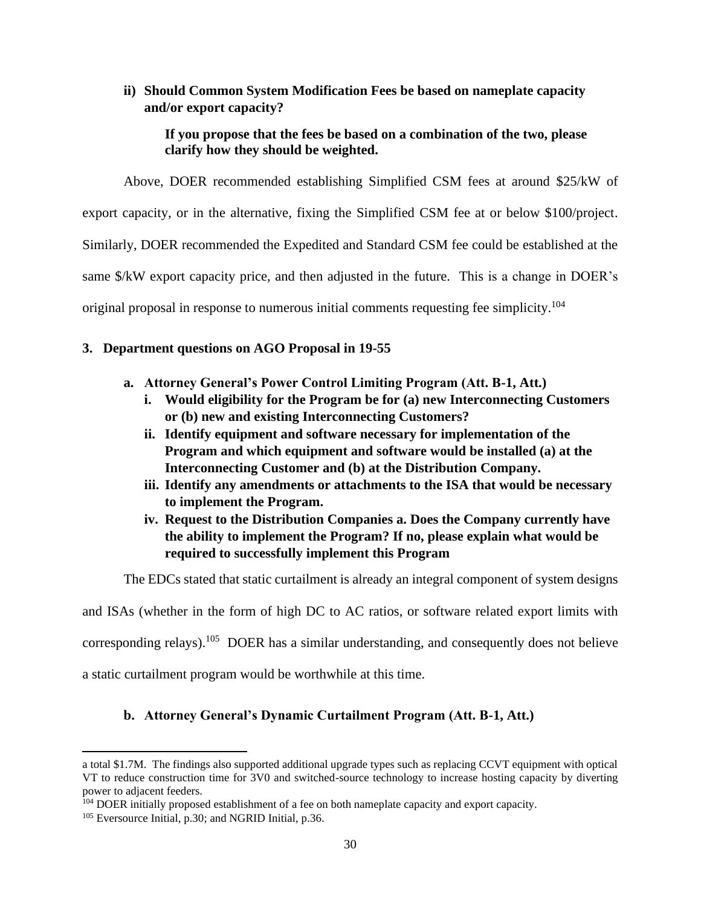## **ii) Should Common System Modification Fees be based on nameplate capacity and/or export capacity?**

## **If you propose that the fees be based on a combination of the two, please clarify how they should be weighted.**

Above, DOER recommended establishing Simplified CSM fees at around \$25/kW of export capacity, or in the alternative, fixing the Simplified CSM fee at or below \$100/project. Similarly, DOER recommended the Expedited and Standard CSM fee could be established at the same \$/kW export capacity price, and then adjusted in the future. This is a change in DOER's original proposal in response to numerous initial comments requesting fee simplicity.<sup>104</sup>

# **3. Department questions on AGO Proposal in 19-55**

- **a. Attorney General's Power Control Limiting Program (Att. B-1, Att.)** 
	- **i. Would eligibility for the Program be for (a) new Interconnecting Customers or (b) new and existing Interconnecting Customers?**
	- **ii. Identify equipment and software necessary for implementation of the Program and which equipment and software would be installed (a) at the Interconnecting Customer and (b) at the Distribution Company.**
	- **iii. Identify any amendments or attachments to the ISA that would be necessary to implement the Program.**
	- **iv. Request to the Distribution Companies a. Does the Company currently have the ability to implement the Program? If no, please explain what would be required to successfully implement this Program**

The EDCs stated that static curtailment is already an integral component of system designs

and ISAs (whether in the form of high DC to AC ratios, or software related export limits with

corresponding relays).<sup>105</sup> DOER has a similar understanding, and consequently does not believe

a static curtailment program would be worthwhile at this time.

# **b. Attorney General's Dynamic Curtailment Program (Att. B-1, Att.)**

a total \$1.7M. The findings also supported additional upgrade types such as replacing CCVT equipment with optical VT to reduce construction time for 3V0 and switched-source technology to increase hosting capacity by diverting power to adjacent feeders.

 $104$  DOER initially proposed establishment of a fee on both nameplate capacity and export capacity.

<sup>105</sup> Eversource Initial, p.30; and NGRID Initial, p.36.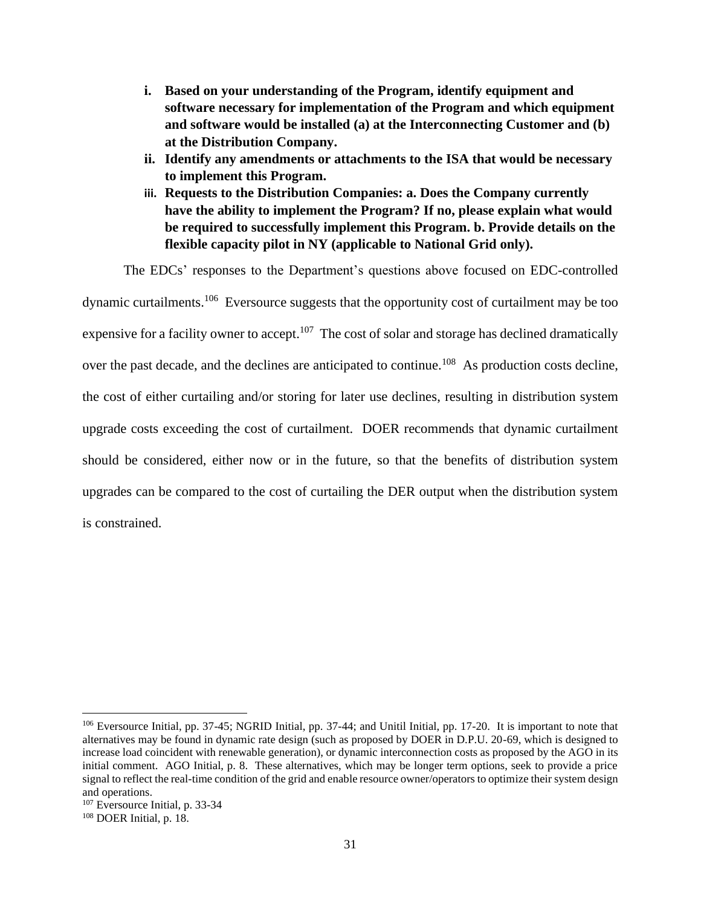- **i. Based on your understanding of the Program, identify equipment and software necessary for implementation of the Program and which equipment and software would be installed (a) at the Interconnecting Customer and (b) at the Distribution Company.**
- **ii. Identify any amendments or attachments to the ISA that would be necessary to implement this Program.**
- **iii. Requests to the Distribution Companies: a. Does the Company currently have the ability to implement the Program? If no, please explain what would be required to successfully implement this Program. b. Provide details on the flexible capacity pilot in NY (applicable to National Grid only).**

The EDCs' responses to the Department's questions above focused on EDC-controlled dynamic curtailments.<sup>106</sup> Eversource suggests that the opportunity cost of curtailment may be too expensive for a facility owner to accept.<sup>107</sup> The cost of solar and storage has declined dramatically over the past decade, and the declines are anticipated to continue.<sup>108</sup> As production costs decline, the cost of either curtailing and/or storing for later use declines, resulting in distribution system upgrade costs exceeding the cost of curtailment. DOER recommends that dynamic curtailment should be considered, either now or in the future, so that the benefits of distribution system upgrades can be compared to the cost of curtailing the DER output when the distribution system is constrained.

<sup>106</sup> Eversource Initial, pp. 37-45; NGRID Initial, pp. 37-44; and Unitil Initial, pp. 17-20. It is important to note that alternatives may be found in dynamic rate design (such as proposed by DOER in D.P.U. 20-69, which is designed to increase load coincident with renewable generation), or dynamic interconnection costs as proposed by the AGO in its initial comment. AGO Initial, p. 8. These alternatives, which may be longer term options, seek to provide a price signal to reflect the real-time condition of the grid and enable resource owner/operators to optimize their system design and operations.

<sup>107</sup> Eversource Initial, p. 33-34

<sup>108</sup> DOER Initial, p. 18.